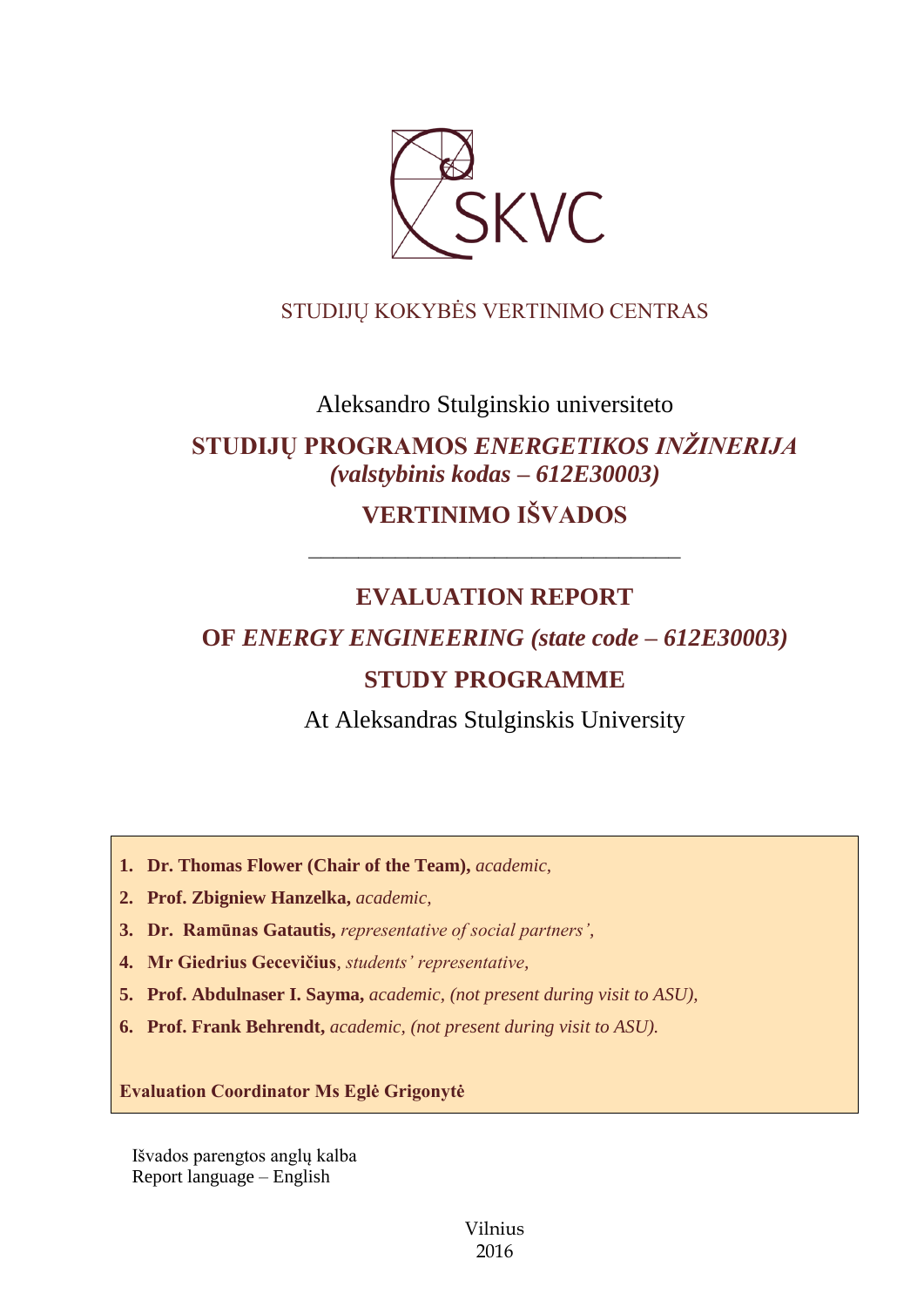

## STUDIJŲ KOKYBĖS VERTINIMO CENTRAS

## Aleksandro Stulginskio universiteto

# **STUDIJŲ PROGRAMOS** *ENERGETIKOS INŽINERIJA (valstybinis kodas – 612E30003)*

# **VERTINIMO IŠVADOS**

## **EVALUATION REPORT**

––––––––––––––––––––––––––––––

# **OF** *ENERGY ENGINEERING (state code – 612E30003)*

## **STUDY PROGRAMME**

At Aleksandras Stulginskis University

**1. Dr. Thomas Flower (Chair of the Team),** *academic,* 

**2. Prof. Zbigniew Hanzelka,** *academic,*

**3. Dr. Ramūnas Gatautis,** *representative of social partners',*

**4. Mr Giedrius Gecevičius***, students' representative,*

**5. Prof. Abdulnaser I. Sayma,** *academic, (not present during visit to ASU),*

**6. Prof. Frank Behrendt,** *academic, (not present during visit to ASU).*

**Evaluation Coordinator Ms Eglė Grigonytė**

Išvados parengtos anglų kalba Report language – English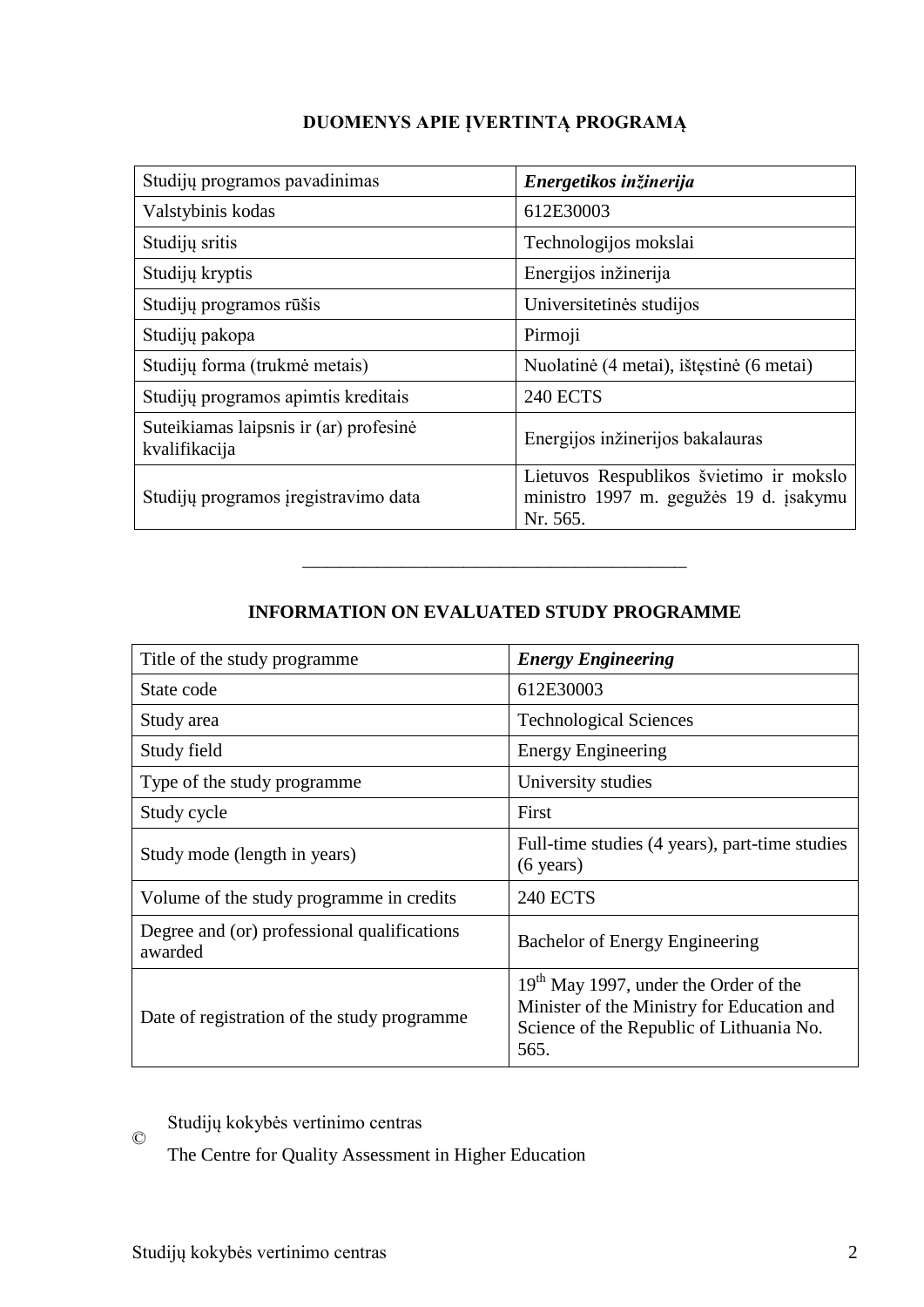| Studijų programos pavadinimas                           | Energetikos inžinerija                                                                        |
|---------------------------------------------------------|-----------------------------------------------------------------------------------------------|
| Valstybinis kodas                                       | 612E30003                                                                                     |
| Studijų sritis                                          | Technologijos mokslai                                                                         |
| Studijų kryptis                                         | Energijos inžinerija                                                                          |
| Studijų programos rūšis                                 | Universitetinės studijos                                                                      |
| Studijų pakopa                                          | Pirmoji                                                                                       |
| Studijų forma (trukmė metais)                           | Nuolatinė (4 metai), ištęstinė (6 metai)                                                      |
| Studijų programos apimtis kreditais                     | <b>240 ECTS</b>                                                                               |
| Suteikiamas laipsnis ir (ar) profesinė<br>kvalifikacija | Energijos inžinerijos bakalauras                                                              |
| Studijų programos įregistravimo data                    | Lietuvos Respublikos švietimo ir mokslo<br>ministro 1997 m. gegužės 19 d. įsakymu<br>Nr. 565. |

–––––––––––––––––––––––––––––––

| Title of the study programme.                          | <b>Energy Engineering</b>                                                                                                                 |
|--------------------------------------------------------|-------------------------------------------------------------------------------------------------------------------------------------------|
| State code                                             | 612E30003                                                                                                                                 |
| Study area                                             | <b>Technological Sciences</b>                                                                                                             |
| Study field                                            | <b>Energy Engineering</b>                                                                                                                 |
| Type of the study programme                            | University studies                                                                                                                        |
| Study cycle                                            | First                                                                                                                                     |
| Study mode (length in years)                           | Full-time studies (4 years), part-time studies<br>$(6 \text{ years})$                                                                     |
| Volume of the study programme in credits               | <b>240 ECTS</b>                                                                                                                           |
| Degree and (or) professional qualifications<br>awarded | Bachelor of Energy Engineering                                                                                                            |
| Date of registration of the study programme            | $19th$ May 1997, under the Order of the<br>Minister of the Ministry for Education and<br>Science of the Republic of Lithuania No.<br>565. |

 $\copyright$ Studijų kokybės vertinimo centras

The Centre for Quality Assessment in Higher Education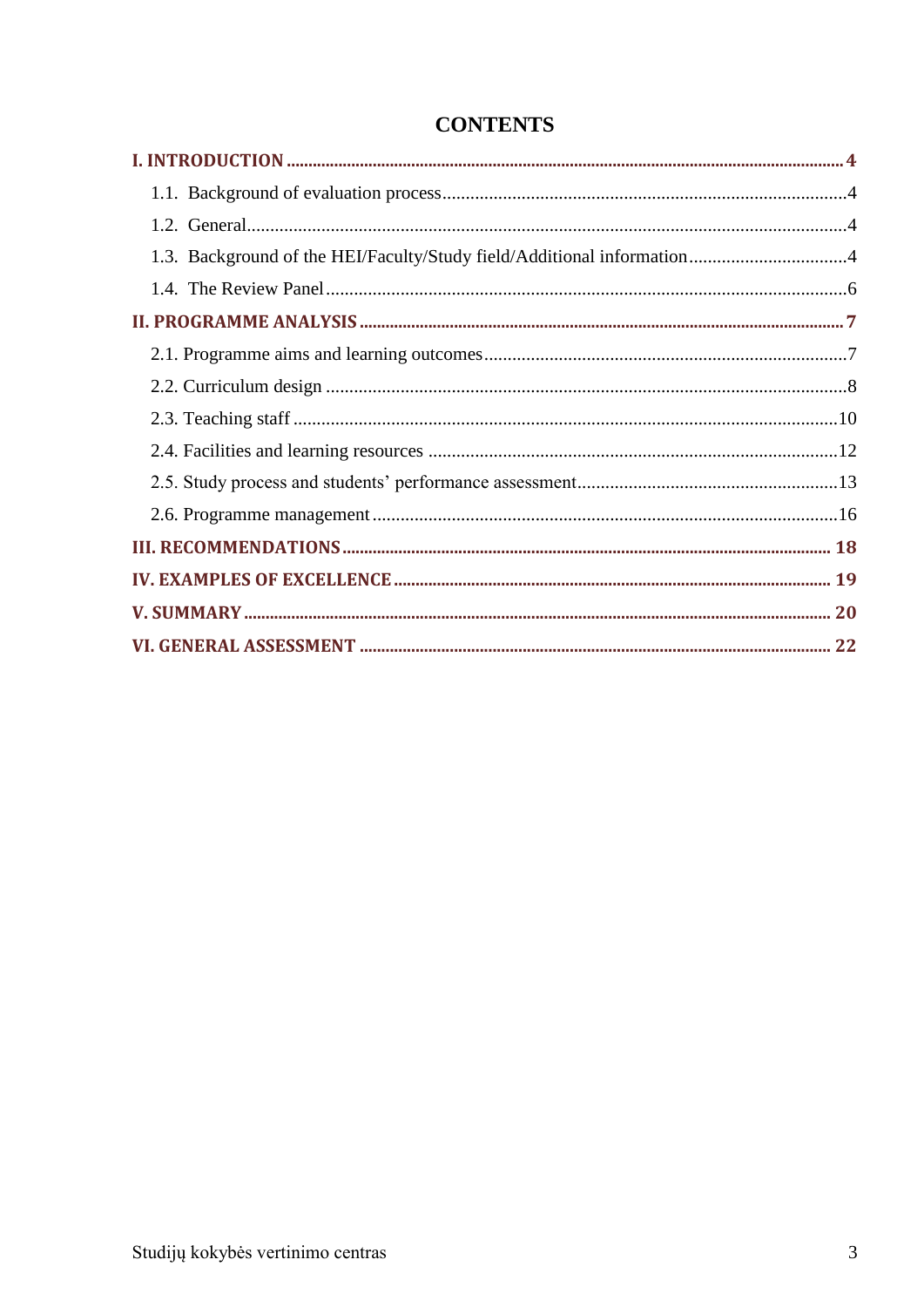| 1.3. Background of the HEI/Faculty/Study field/Additional information4 |  |
|------------------------------------------------------------------------|--|
|                                                                        |  |
|                                                                        |  |
|                                                                        |  |
|                                                                        |  |
|                                                                        |  |
|                                                                        |  |
|                                                                        |  |
|                                                                        |  |
|                                                                        |  |
|                                                                        |  |
|                                                                        |  |
|                                                                        |  |

## **CONTENTS**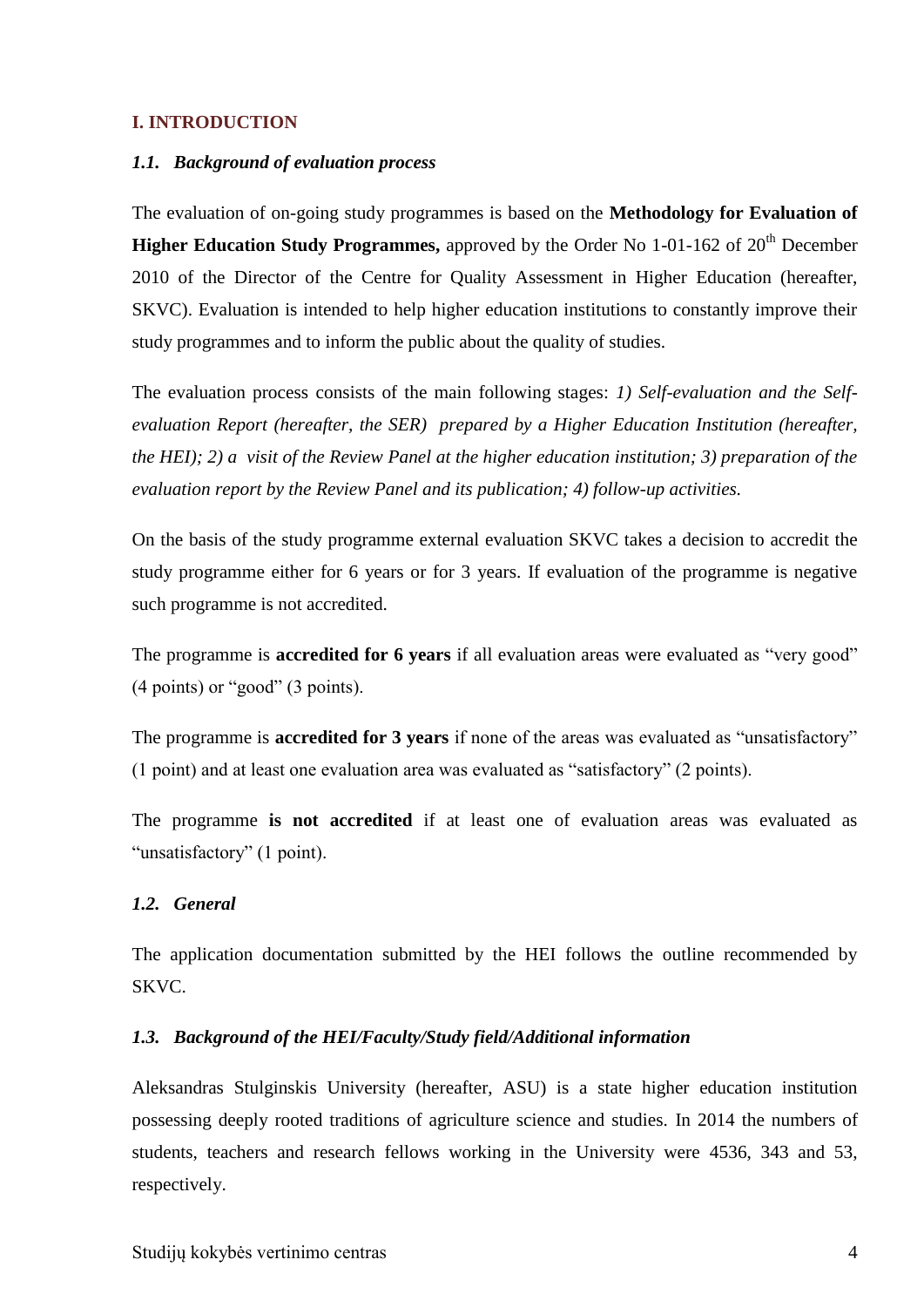#### <span id="page-3-1"></span><span id="page-3-0"></span>**I. INTRODUCTION**

#### *1.1. Background of evaluation process*

The evaluation of on-going study programmes is based on the **Methodology for Evaluation of Higher Education Study Programmes,** approved by the Order No 1-01-162 of 20<sup>th</sup> December 2010 of the Director of the Centre for Quality Assessment in Higher Education (hereafter, SKVC). Evaluation is intended to help higher education institutions to constantly improve their study programmes and to inform the public about the quality of studies.

The evaluation process consists of the main following stages: *1) Self-evaluation and the Selfevaluation Report (hereafter, the SER) prepared by a Higher Education Institution (hereafter, the HEI); 2) a visit of the Review Panel at the higher education institution; 3) preparation of the evaluation report by the Review Panel and its publication; 4) follow-up activities.* 

On the basis of the study programme external evaluation SKVC takes a decision to accredit the study programme either for 6 years or for 3 years. If evaluation of the programme is negative such programme is not accredited.

The programme is **accredited for 6 years** if all evaluation areas were evaluated as "very good" (4 points) or "good" (3 points).

The programme is **accredited for 3 years** if none of the areas was evaluated as "unsatisfactory" (1 point) and at least one evaluation area was evaluated as "satisfactory" (2 points).

The programme **is not accredited** if at least one of evaluation areas was evaluated as "unsatisfactory" (1 point).

#### <span id="page-3-2"></span>*1.2. General*

The application documentation submitted by the HEI follows the outline recommended by SKVC.

#### <span id="page-3-3"></span>*1.3. Background of the HEI/Faculty/Study field/Additional information*

Aleksandras Stulginskis University (hereafter, ASU) is a state higher education institution possessing deeply rooted traditions of agriculture science and studies. In 2014 the numbers of students, teachers and research fellows working in the University were 4536, 343 and 53, respectively.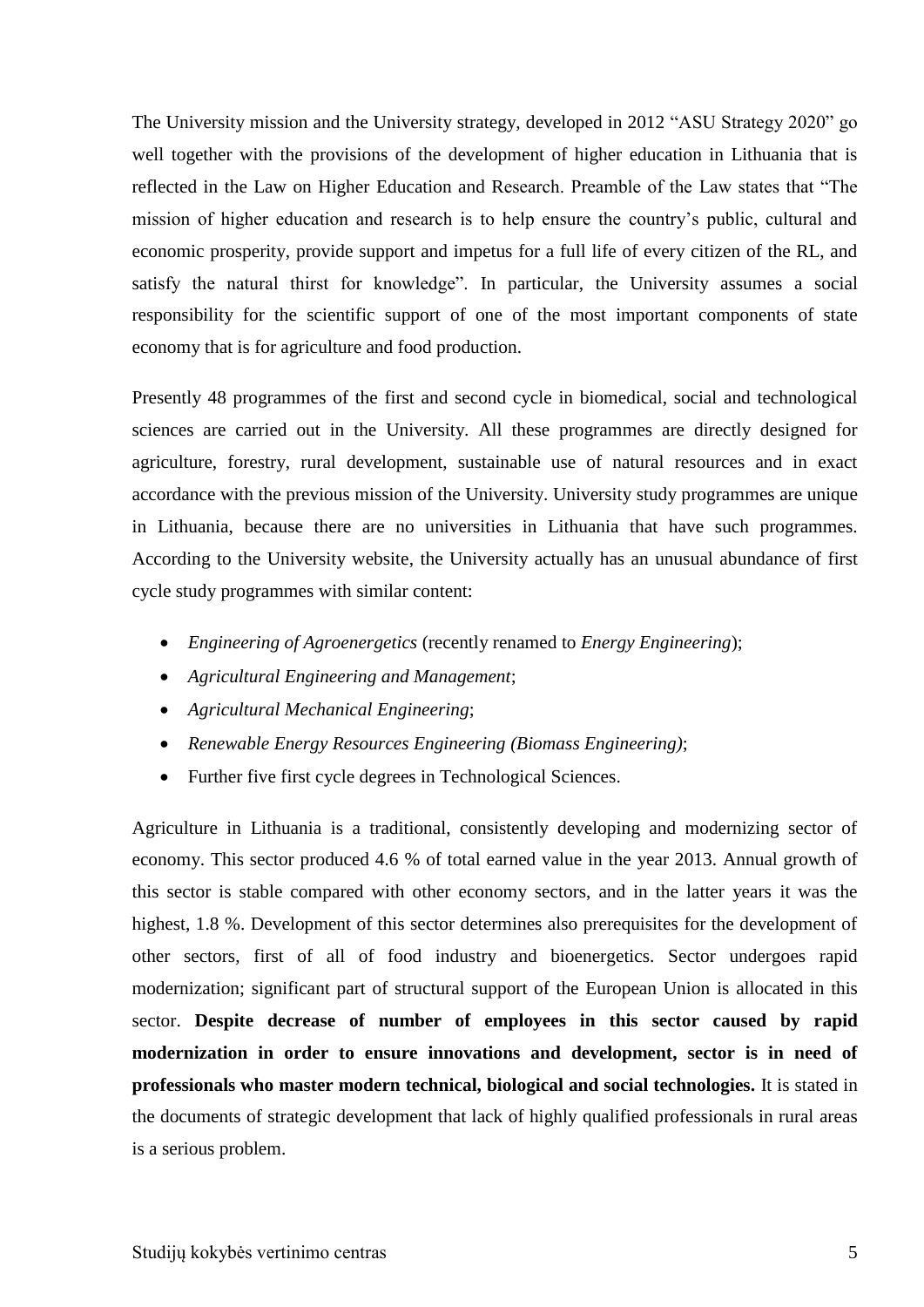The University mission and the University strategy, developed in 2012 "ASU Strategy 2020" go well together with the provisions of the development of higher education in Lithuania that is reflected in the Law on Higher Education and Research. Preamble of the Law states that "The mission of higher education and research is to help ensure the country's public, cultural and economic prosperity, provide support and impetus for a full life of every citizen of the RL, and satisfy the natural thirst for knowledge". In particular, the University assumes a social responsibility for the scientific support of one of the most important components of state economy that is for agriculture and food production.

Presently 48 programmes of the first and second cycle in biomedical, social and technological sciences are carried out in the University. All these programmes are directly designed for agriculture, forestry, rural development, sustainable use of natural resources and in exact accordance with the previous mission of the University. University study programmes are unique in Lithuania, because there are no universities in Lithuania that have such programmes. According to the University website, the University actually has an unusual abundance of first cycle study programmes with similar content:

- *Engineering of Agroenergetics* (recently renamed to *Energy Engineering*);
- *Agricultural Engineering and Management*;
- *Agricultural Mechanical Engineering*;
- *Renewable Energy Resources Engineering (Biomass Engineering)*;
- Further five first cycle degrees in Technological Sciences.

Agriculture in Lithuania is a traditional, consistently developing and modernizing sector of economy. This sector produced 4.6 % of total earned value in the year 2013. Annual growth of this sector is stable compared with other economy sectors, and in the latter years it was the highest, 1.8 %. Development of this sector determines also prerequisites for the development of other sectors, first of all of food industry and bioenergetics. Sector undergoes rapid modernization; significant part of structural support of the European Union is allocated in this sector. **Despite decrease of number of employees in this sector caused by rapid modernization in order to ensure innovations and development, sector is in need of professionals who master modern technical, biological and social technologies.** It is stated in the documents of strategic development that lack of highly qualified professionals in rural areas is a serious problem.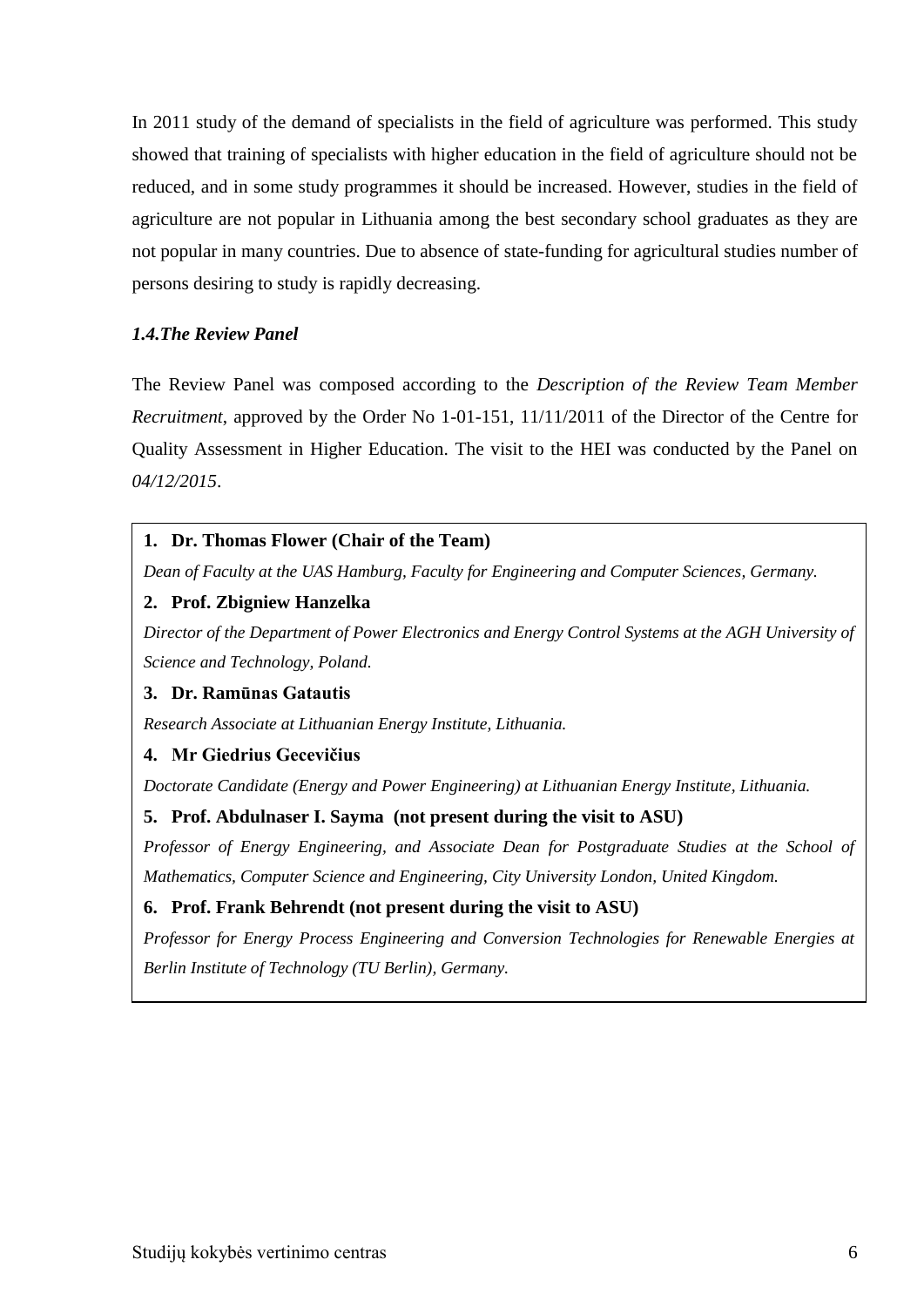In 2011 study of the demand of specialists in the field of agriculture was performed. This study showed that training of specialists with higher education in the field of agriculture should not be reduced, and in some study programmes it should be increased. However, studies in the field of agriculture are not popular in Lithuania among the best secondary school graduates as they are not popular in many countries. Due to absence of state-funding for agricultural studies number of persons desiring to study is rapidly decreasing.

## <span id="page-5-0"></span>*1.4.The Review Panel*

The Review Panel was composed according to the *Description of the Review Team Member Recruitment*, approved by the Order No 1-01-151, 11/11/2011 of the Director of the Centre for Quality Assessment in Higher Education. The visit to the HEI was conducted by the Panel on *04/12/2015*.

## **1. Dr. Thomas Flower (Chair of the Team)**

*Dean of Faculty at the UAS Hamburg, Faculty for Engineering and Computer Sciences, Germany.*

## **2. Prof. Zbigniew Hanzelka**

*Director of the Department of Power Electronics and Energy Control Systems at the AGH University of Science and Technology, Poland.* 

## **3. Dr. Ramūnas Gatautis**

*Research Associate at Lithuanian Energy Institute, Lithuania.*

## **4. Mr Giedrius Gecevičius**

*Doctorate Candidate (Energy and Power Engineering) at Lithuanian Energy Institute, Lithuania.*

## **5. Prof. Abdulnaser I. Sayma (not present during the visit to ASU)**

*Professor of Energy Engineering, and Associate Dean for Postgraduate Studies at the School of Mathematics, Computer Science and Engineering, City University London, United Kingdom.*

## **6. Prof. Frank Behrendt (not present during the visit to ASU)**

*Professor for Energy Process Engineering and Conversion Technologies for Renewable Energies at Berlin Institute of Technology (TU Berlin), Germany.*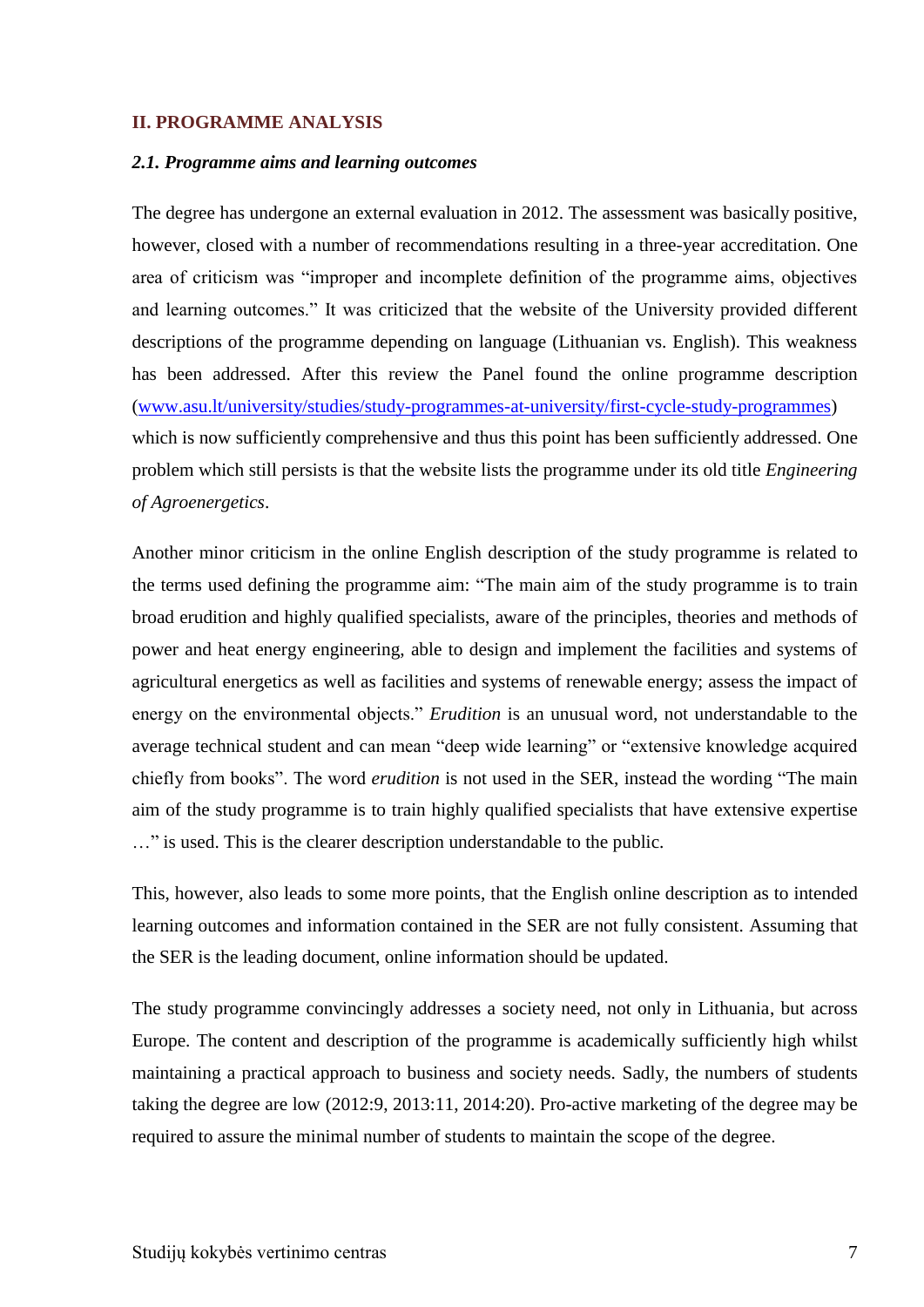#### <span id="page-6-1"></span><span id="page-6-0"></span>**II. PROGRAMME ANALYSIS**

#### *2.1. Programme aims and learning outcomes*

The degree has undergone an external evaluation in 2012. The assessment was basically positive, however, closed with a number of recommendations resulting in a three-year accreditation. One area of criticism was "improper and incomplete definition of the programme aims, objectives and learning outcomes." It was criticized that the website of the University provided different descriptions of the programme depending on language (Lithuanian vs. English). This weakness has been addressed. After this review the Panel found the online programme description [\(www.asu.lt/university/studies/study-programmes-at-university/first-cycle-study-programmes\)](http://www.asu.lt/university/studies/study-programmes-at-university/first-cycle-study-programmes) which is now sufficiently comprehensive and thus this point has been sufficiently addressed. One problem which still persists is that the website lists the programme under its old title *Engineering of Agroenergetics*.

Another minor criticism in the online English description of the study programme is related to the terms used defining the programme aim: "The main aim of the study programme is to train broad erudition and highly qualified specialists, aware of the principles, theories and methods of power and heat energy engineering, able to design and implement the facilities and systems of agricultural energetics as well as facilities and systems of renewable energy; assess the impact of energy on the environmental objects." *Erudition* is an unusual word, not understandable to the average technical student and can mean "deep wide learning" or "extensive knowledge acquired chiefly from books". The word *erudition* is not used in the SER, instead the wording "The main aim of the study programme is to train highly qualified specialists that have extensive expertise …" is used. This is the clearer description understandable to the public.

This, however, also leads to some more points, that the English online description as to intended learning outcomes and information contained in the SER are not fully consistent. Assuming that the SER is the leading document, online information should be updated.

The study programme convincingly addresses a society need, not only in Lithuania, but across Europe. The content and description of the programme is academically sufficiently high whilst maintaining a practical approach to business and society needs. Sadly, the numbers of students taking the degree are low (2012:9, 2013:11, 2014:20). Pro-active marketing of the degree may be required to assure the minimal number of students to maintain the scope of the degree.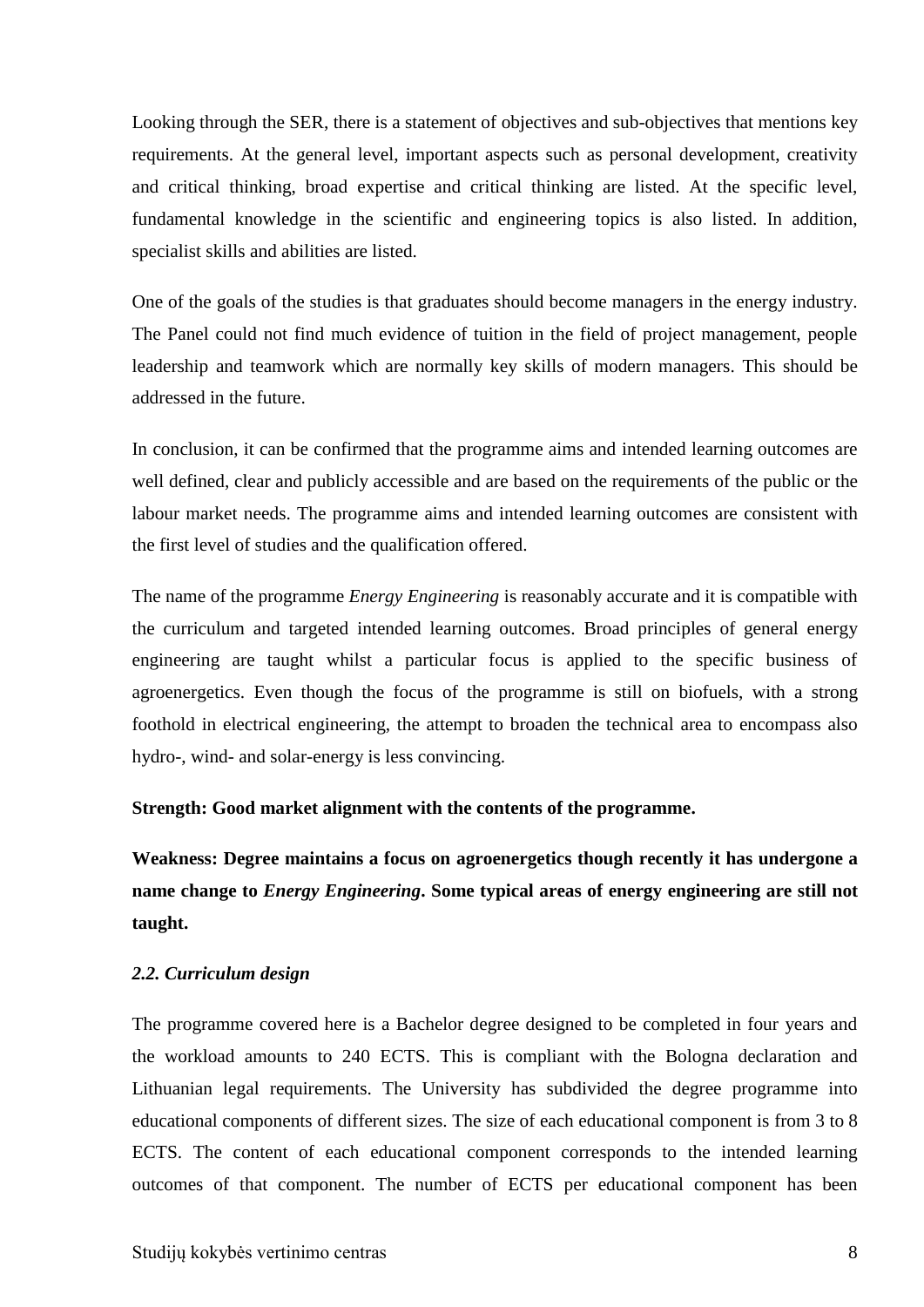Looking through the SER, there is a statement of objectives and sub-objectives that mentions key requirements. At the general level, important aspects such as personal development, creativity and critical thinking, broad expertise and critical thinking are listed. At the specific level, fundamental knowledge in the scientific and engineering topics is also listed. In addition, specialist skills and abilities are listed.

One of the goals of the studies is that graduates should become managers in the energy industry. The Panel could not find much evidence of tuition in the field of project management, people leadership and teamwork which are normally key skills of modern managers. This should be addressed in the future.

In conclusion, it can be confirmed that the programme aims and intended learning outcomes are well defined, clear and publicly accessible and are based on the requirements of the public or the labour market needs. The programme aims and intended learning outcomes are consistent with the first level of studies and the qualification offered.

The name of the programme *Energy Engineering* is reasonably accurate and it is compatible with the curriculum and targeted intended learning outcomes. Broad principles of general energy engineering are taught whilst a particular focus is applied to the specific business of agroenergetics. Even though the focus of the programme is still on biofuels, with a strong foothold in electrical engineering, the attempt to broaden the technical area to encompass also hydro-, wind- and solar-energy is less convincing.

#### **Strength: Good market alignment with the contents of the programme.**

**Weakness: Degree maintains a focus on agroenergetics though recently it has undergone a name change to** *Energy Engineering***. Some typical areas of energy engineering are still not taught.** 

#### <span id="page-7-0"></span>*2.2. Curriculum design*

The programme covered here is a Bachelor degree designed to be completed in four years and the workload amounts to 240 ECTS. This is compliant with the Bologna declaration and Lithuanian legal requirements. The University has subdivided the degree programme into educational components of different sizes. The size of each educational component is from 3 to 8 ECTS. The content of each educational component corresponds to the intended learning outcomes of that component. The number of ECTS per educational component has been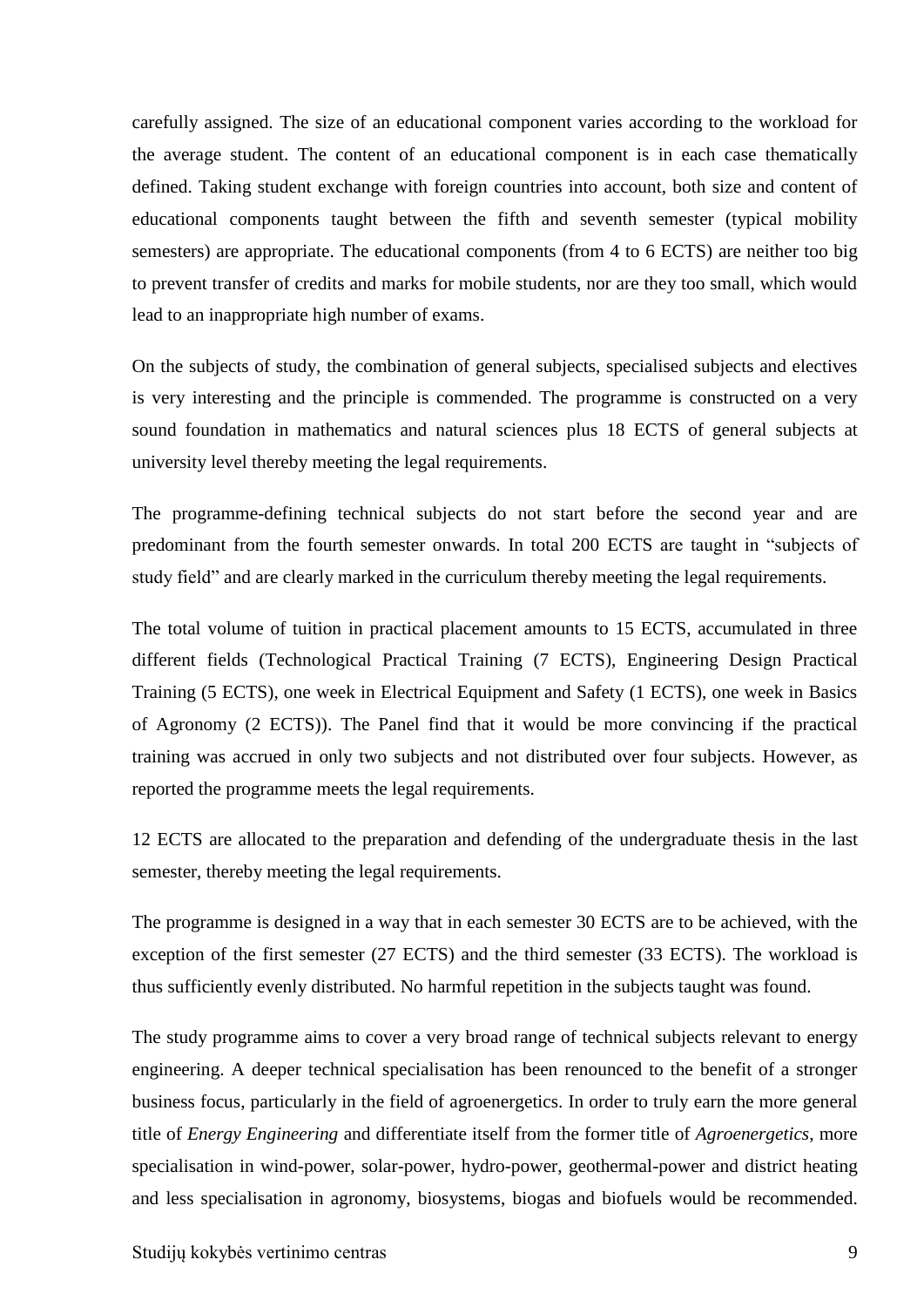carefully assigned. The size of an educational component varies according to the workload for the average student. The content of an educational component is in each case thematically defined. Taking student exchange with foreign countries into account, both size and content of educational components taught between the fifth and seventh semester (typical mobility semesters) are appropriate. The educational components (from 4 to 6 ECTS) are neither too big to prevent transfer of credits and marks for mobile students, nor are they too small, which would lead to an inappropriate high number of exams.

On the subjects of study, the combination of general subjects, specialised subjects and electives is very interesting and the principle is commended. The programme is constructed on a very sound foundation in mathematics and natural sciences plus 18 ECTS of general subjects at university level thereby meeting the legal requirements.

The programme-defining technical subjects do not start before the second year and are predominant from the fourth semester onwards. In total 200 ECTS are taught in "subjects of study field" and are clearly marked in the curriculum thereby meeting the legal requirements.

The total volume of tuition in practical placement amounts to 15 ECTS, accumulated in three different fields (Technological Practical Training (7 ECTS), Engineering Design Practical Training (5 ECTS), one week in Electrical Equipment and Safety (1 ECTS), one week in Basics of Agronomy (2 ECTS)). The Panel find that it would be more convincing if the practical training was accrued in only two subjects and not distributed over four subjects. However, as reported the programme meets the legal requirements.

12 ECTS are allocated to the preparation and defending of the undergraduate thesis in the last semester, thereby meeting the legal requirements.

The programme is designed in a way that in each semester 30 ECTS are to be achieved, with the exception of the first semester (27 ECTS) and the third semester (33 ECTS). The workload is thus sufficiently evenly distributed. No harmful repetition in the subjects taught was found.

The study programme aims to cover a very broad range of technical subjects relevant to energy engineering. A deeper technical specialisation has been renounced to the benefit of a stronger business focus, particularly in the field of agroenergetics. In order to truly earn the more general title of *Energy Engineering* and differentiate itself from the former title of *Agroenergetics*, more specialisation in wind-power, solar-power, hydro-power, geothermal-power and district heating and less specialisation in agronomy, biosystems, biogas and biofuels would be recommended.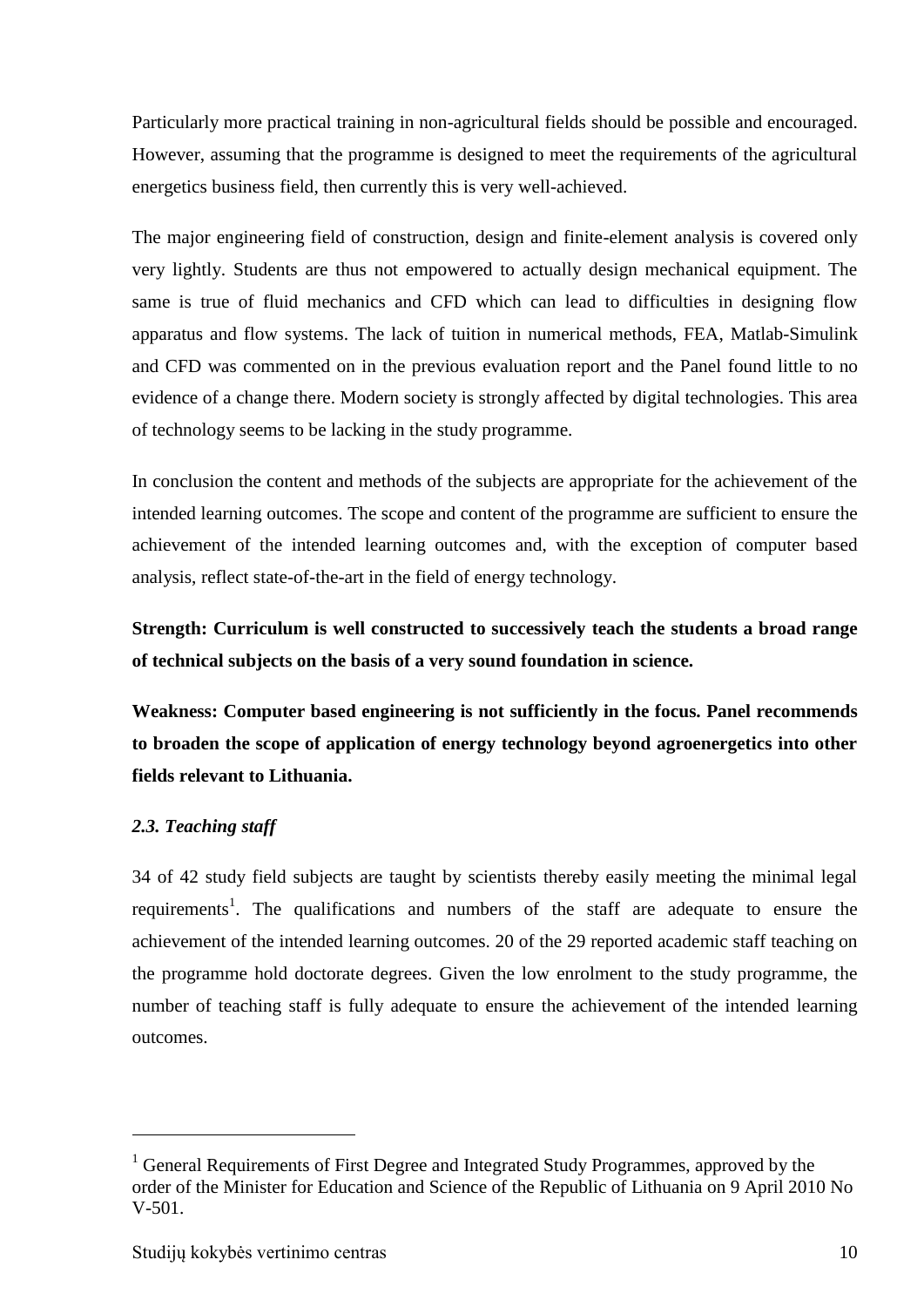Particularly more practical training in non-agricultural fields should be possible and encouraged. However, assuming that the programme is designed to meet the requirements of the agricultural energetics business field, then currently this is very well-achieved.

The major engineering field of construction, design and finite-element analysis is covered only very lightly. Students are thus not empowered to actually design mechanical equipment. The same is true of fluid mechanics and CFD which can lead to difficulties in designing flow apparatus and flow systems. The lack of tuition in numerical methods, FEA, Matlab-Simulink and CFD was commented on in the previous evaluation report and the Panel found little to no evidence of a change there. Modern society is strongly affected by digital technologies. This area of technology seems to be lacking in the study programme.

In conclusion the content and methods of the subjects are appropriate for the achievement of the intended learning outcomes. The scope and content of the programme are sufficient to ensure the achievement of the intended learning outcomes and, with the exception of computer based analysis, reflect state-of-the-art in the field of energy technology.

**Strength: Curriculum is well constructed to successively teach the students a broad range of technical subjects on the basis of a very sound foundation in science.**

**Weakness: Computer based engineering is not sufficiently in the focus. Panel recommends to broaden the scope of application of energy technology beyond agroenergetics into other fields relevant to Lithuania.**

## <span id="page-9-0"></span>*2.3. Teaching staff*

1

34 of 42 study field subjects are taught by scientists thereby easily meeting the minimal legal requirements<sup>1</sup>. The qualifications and numbers of the staff are adequate to ensure the achievement of the intended learning outcomes. 20 of the 29 reported academic staff teaching on the programme hold doctorate degrees. Given the low enrolment to the study programme, the number of teaching staff is fully adequate to ensure the achievement of the intended learning outcomes.

<sup>&</sup>lt;sup>1</sup> General Requirements of First Degree and Integrated Study Programmes, approved by the order of the Minister for Education and Science of the Republic of Lithuania on 9 April 2010 No V-501.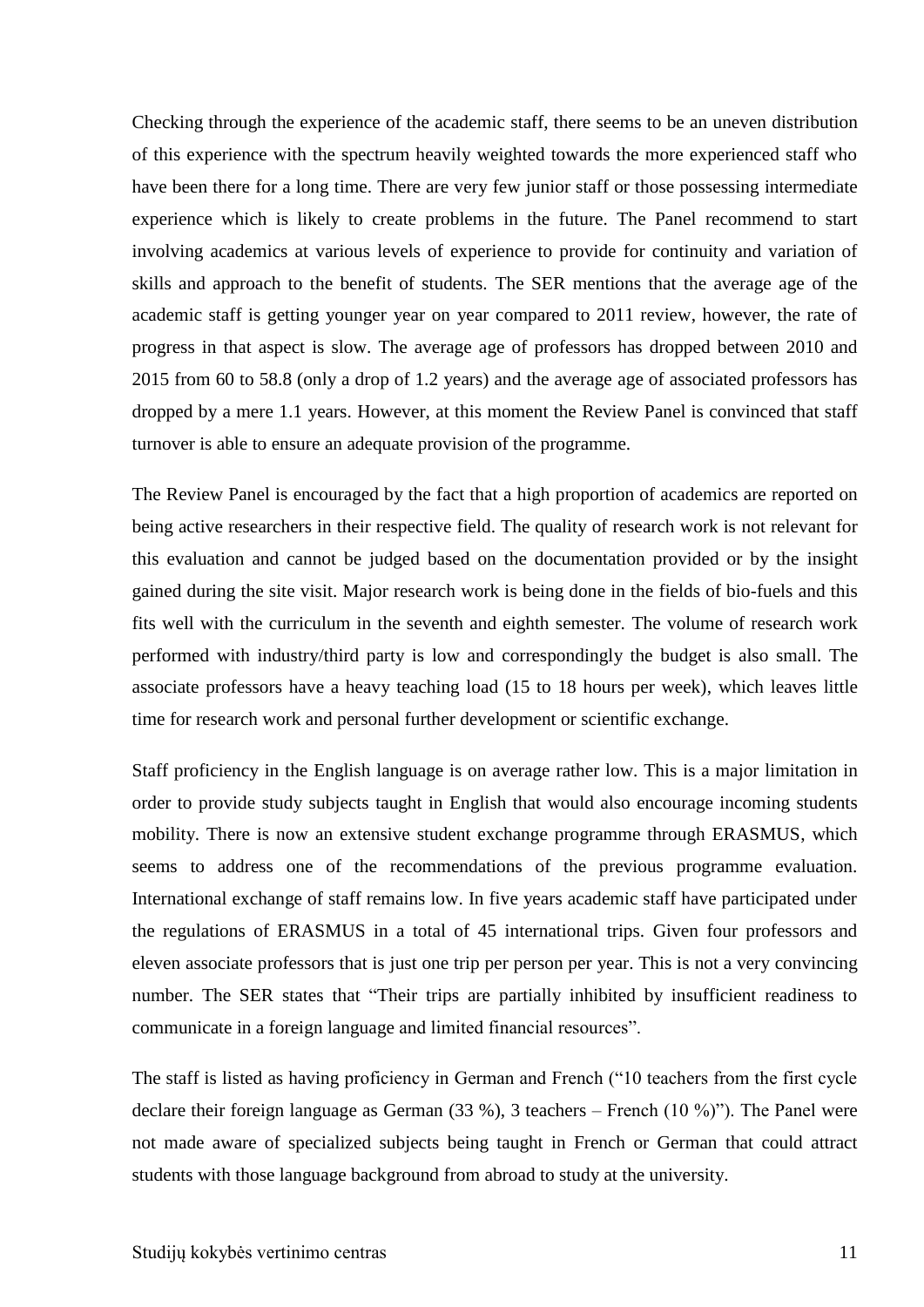Checking through the experience of the academic staff, there seems to be an uneven distribution of this experience with the spectrum heavily weighted towards the more experienced staff who have been there for a long time. There are very few junior staff or those possessing intermediate experience which is likely to create problems in the future. The Panel recommend to start involving academics at various levels of experience to provide for continuity and variation of skills and approach to the benefit of students. The SER mentions that the average age of the academic staff is getting younger year on year compared to 2011 review, however, the rate of progress in that aspect is slow. The average age of professors has dropped between 2010 and 2015 from 60 to 58.8 (only a drop of 1.2 years) and the average age of associated professors has dropped by a mere 1.1 years. However, at this moment the Review Panel is convinced that staff turnover is able to ensure an adequate provision of the programme.

The Review Panel is encouraged by the fact that a high proportion of academics are reported on being active researchers in their respective field. The quality of research work is not relevant for this evaluation and cannot be judged based on the documentation provided or by the insight gained during the site visit. Major research work is being done in the fields of bio-fuels and this fits well with the curriculum in the seventh and eighth semester. The volume of research work performed with industry/third party is low and correspondingly the budget is also small. The associate professors have a heavy teaching load (15 to 18 hours per week), which leaves little time for research work and personal further development or scientific exchange.

Staff proficiency in the English language is on average rather low. This is a major limitation in order to provide study subjects taught in English that would also encourage incoming students mobility. There is now an extensive student exchange programme through ERASMUS, which seems to address one of the recommendations of the previous programme evaluation. International exchange of staff remains low. In five years academic staff have participated under the regulations of ERASMUS in a total of 45 international trips. Given four professors and eleven associate professors that is just one trip per person per year. This is not a very convincing number. The SER states that "Their trips are partially inhibited by insufficient readiness to communicate in a foreign language and limited financial resources".

The staff is listed as having proficiency in German and French ("10 teachers from the first cycle declare their foreign language as German (33 %), 3 teachers – French (10 %)"). The Panel were not made aware of specialized subjects being taught in French or German that could attract students with those language background from abroad to study at the university.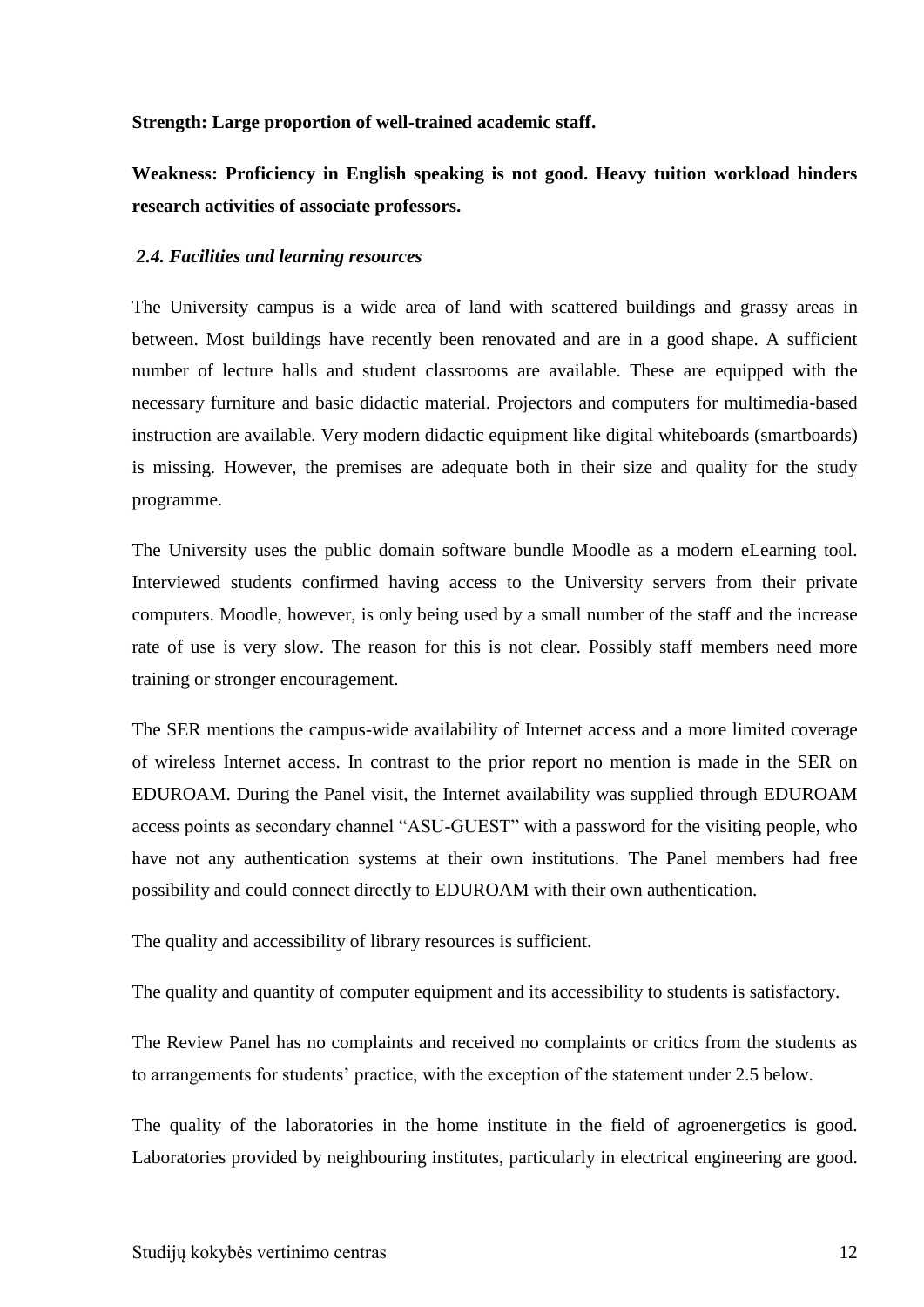#### **Strength: Large proportion of well-trained academic staff.**

**Weakness: Proficiency in English speaking is not good. Heavy tuition workload hinders research activities of associate professors.**

#### <span id="page-11-0"></span>*2.4. Facilities and learning resources*

The University campus is a wide area of land with scattered buildings and grassy areas in between. Most buildings have recently been renovated and are in a good shape. A sufficient number of lecture halls and student classrooms are available. These are equipped with the necessary furniture and basic didactic material. Projectors and computers for multimedia-based instruction are available. Very modern didactic equipment like digital whiteboards (smartboards) is missing. However, the premises are adequate both in their size and quality for the study programme.

The University uses the public domain software bundle Moodle as a modern eLearning tool. Interviewed students confirmed having access to the University servers from their private computers. Moodle, however, is only being used by a small number of the staff and the increase rate of use is very slow. The reason for this is not clear. Possibly staff members need more training or stronger encouragement.

The SER mentions the campus-wide availability of Internet access and a more limited coverage of wireless Internet access. In contrast to the prior report no mention is made in the SER on EDUROAM. During the Panel visit, the Internet availability was supplied through EDUROAM access points as secondary channel "ASU-GUEST" with a password for the visiting people, who have not any authentication systems at their own institutions. The Panel members had free possibility and could connect directly to EDUROAM with their own authentication.

The quality and accessibility of library resources is sufficient.

The quality and quantity of computer equipment and its accessibility to students is satisfactory.

The Review Panel has no complaints and received no complaints or critics from the students as to arrangements for students' practice, with the exception of the statement under 2.5 below.

The quality of the laboratories in the home institute in the field of agroenergetics is good. Laboratories provided by neighbouring institutes, particularly in electrical engineering are good.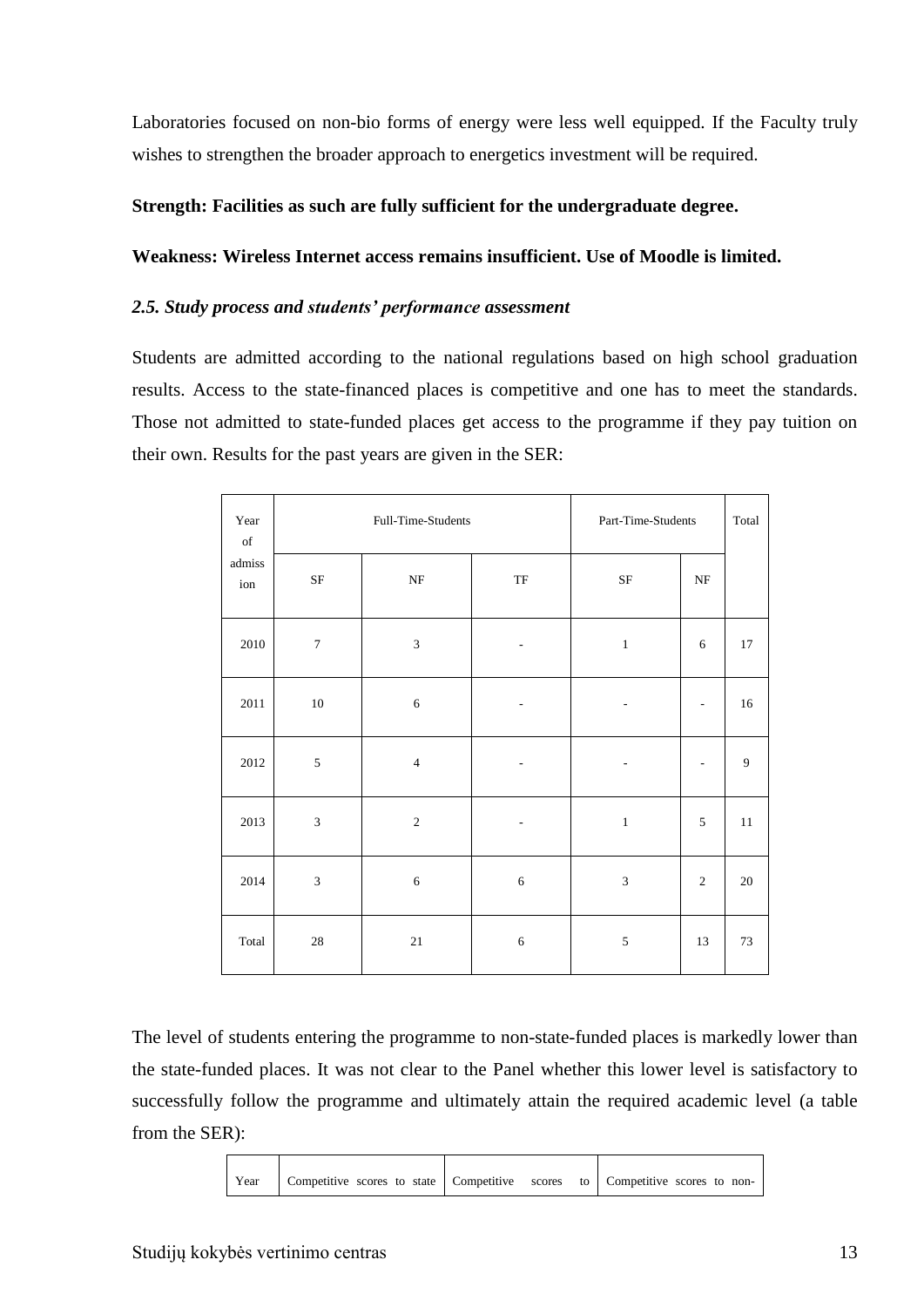Laboratories focused on non-bio forms of energy were less well equipped. If the Faculty truly wishes to strengthen the broader approach to energetics investment will be required.

### **Strength: Facilities as such are fully sufficient for the undergraduate degree.**

#### **Weakness: Wireless Internet access remains insufficient. Use of Moodle is limited.**

#### <span id="page-12-0"></span>*2.5. Study process and students' performance assessment*

Students are admitted according to the national regulations based on high school graduation results. Access to the state-financed places is competitive and one has to meet the standards. Those not admitted to state-funded places get access to the programme if they pay tuition on their own. Results for the past years are given in the SER:

| Year<br>$_{\mathrm{of}}$ | Full-Time-Students |                |                            | Part-Time-Students | Total                    |        |
|--------------------------|--------------------|----------------|----------------------------|--------------------|--------------------------|--------|
| admiss<br>ion            | $\rm{SF}$          | $\rm{NF}$      | $\ensuremath{\mathsf{TF}}$ | $\rm{SF}$          | $\rm{NF}$                |        |
| 2010                     | $\boldsymbol{7}$   | $\mathfrak{Z}$ | $\overline{\phantom{a}}$   | $\,1\,$            | 6                        | 17     |
| 2011                     | $10\,$             | $\sqrt{6}$     | $\overline{\phantom{a}}$   | ٠                  | $\overline{\phantom{m}}$ | 16     |
| 2012                     | $\sqrt{5}$         | $\overline{4}$ | $\overline{\phantom{a}}$   | $\overline{a}$     | $\overline{a}$           | 9      |
| 2013                     | $\mathfrak 3$      | $\sqrt{2}$     | $\overline{\phantom{a}}$   | $\,1\,$            | 5                        | 11     |
| 2014                     | $\mathfrak{Z}$     | $\sqrt{6}$     | $\sqrt{6}$                 | $\sqrt{3}$         | $\overline{2}$           | $20\,$ |
| Total                    | $28\,$             | $21\,$         | $\sqrt{6}$                 | $\sqrt{5}$         | 13                       | 73     |

The level of students entering the programme to non-state-funded places is markedly lower than the state-funded places. It was not clear to the Panel whether this lower level is satisfactory to successfully follow the programme and ultimately attain the required academic level (a table from the SER):

Year Competitive scores to state Competitive scores to Competitive scores to non-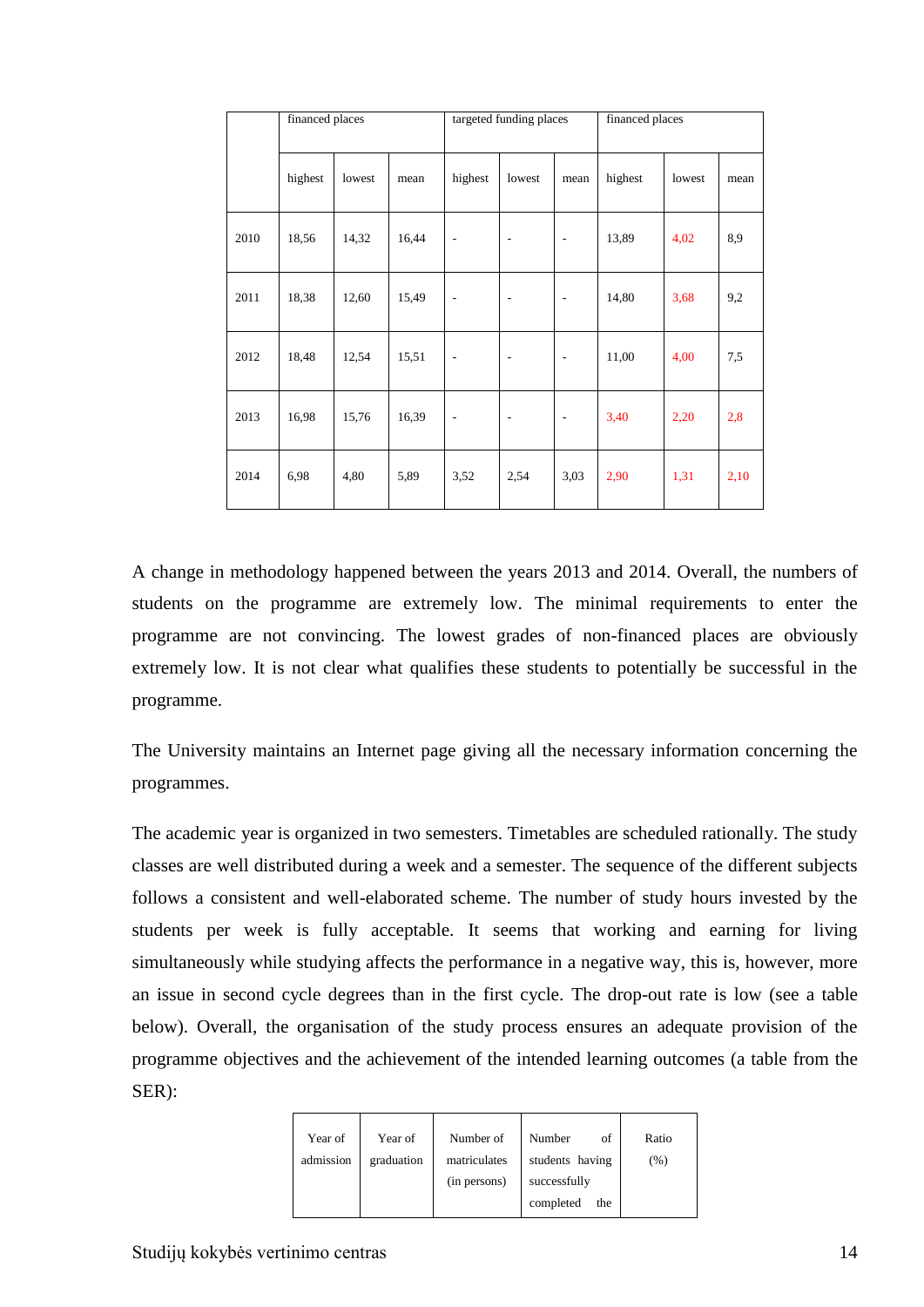|      | financed places |        |       | targeted funding places  |                          | financed places          |         |        |      |
|------|-----------------|--------|-------|--------------------------|--------------------------|--------------------------|---------|--------|------|
|      | highest         | lowest | mean  | highest                  | lowest                   | mean                     | highest | lowest | mean |
| 2010 | 18,56           | 14,32  | 16,44 | $\overline{\phantom{a}}$ | ÷                        | $\overline{\phantom{m}}$ | 13,89   | 4,02   | 8,9  |
| 2011 | 18,38           | 12,60  | 15,49 | $\overline{\phantom{m}}$ | $\overline{a}$           | $\overline{\phantom{a}}$ | 14,80   | 3,68   | 9,2  |
| 2012 | 18,48           | 12,54  | 15,51 | $\overline{\phantom{m}}$ | $\overline{a}$           | $\overline{\phantom{a}}$ | 11,00   | 4,00   | 7,5  |
| 2013 | 16,98           | 15,76  | 16,39 | $\overline{\phantom{a}}$ | $\overline{\phantom{a}}$ | $\overline{\phantom{a}}$ | 3,40    | 2,20   | 2,8  |
| 2014 | 6,98            | 4,80   | 5,89  | 3,52                     | 2,54                     | 3,03                     | 2,90    | 1,31   | 2,10 |

A change in methodology happened between the years 2013 and 2014. Overall, the numbers of students on the programme are extremely low. The minimal requirements to enter the programme are not convincing. The lowest grades of non-financed places are obviously extremely low. It is not clear what qualifies these students to potentially be successful in the programme.

The University maintains an Internet page giving all the necessary information concerning the programmes.

The academic year is organized in two semesters. Timetables are scheduled rationally. The study classes are well distributed during a week and a semester. The sequence of the different subjects follows a consistent and well-elaborated scheme. The number of study hours invested by the students per week is fully acceptable. It seems that working and earning for living simultaneously while studying affects the performance in a negative way, this is, however, more an issue in second cycle degrees than in the first cycle. The drop-out rate is low (see a table below). Overall, the organisation of the study process ensures an adequate provision of the programme objectives and the achievement of the intended learning outcomes (a table from the SER):

| Year of   | Year of    | Number of    | Number<br>of     | Ratio |
|-----------|------------|--------------|------------------|-------|
| admission | graduation | matriculates | students having  | (%)   |
|           |            | (in persons) | successfully     |       |
|           |            |              | completed<br>the |       |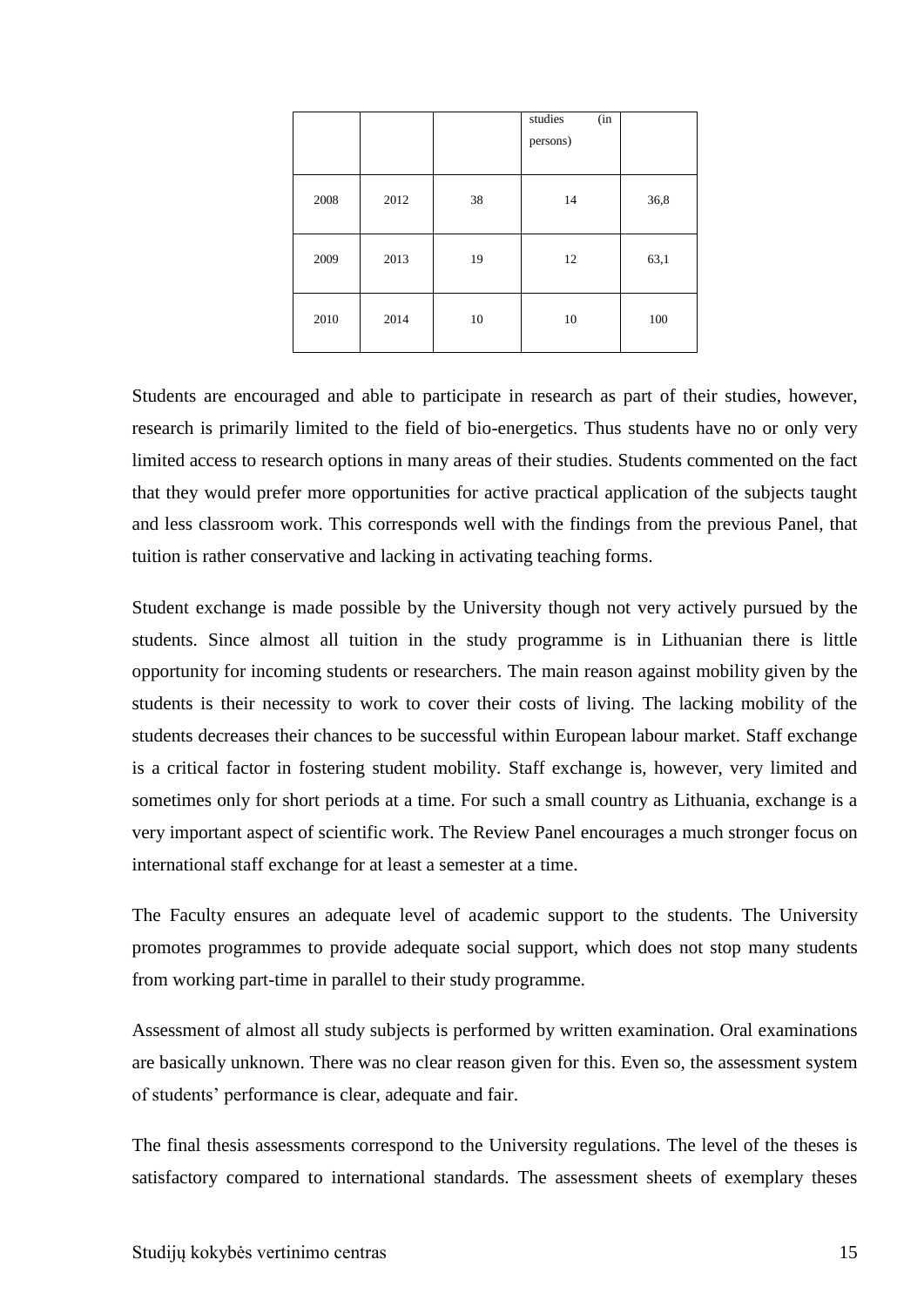|      |      |    | studies<br>(in<br>persons) |      |
|------|------|----|----------------------------|------|
| 2008 | 2012 | 38 | 14                         | 36,8 |
| 2009 | 2013 | 19 | 12                         | 63,1 |
| 2010 | 2014 | 10 | 10                         | 100  |

Students are encouraged and able to participate in research as part of their studies, however, research is primarily limited to the field of bio-energetics. Thus students have no or only very limited access to research options in many areas of their studies. Students commented on the fact that they would prefer more opportunities for active practical application of the subjects taught and less classroom work. This corresponds well with the findings from the previous Panel, that tuition is rather conservative and lacking in activating teaching forms.

Student exchange is made possible by the University though not very actively pursued by the students. Since almost all tuition in the study programme is in Lithuanian there is little opportunity for incoming students or researchers. The main reason against mobility given by the students is their necessity to work to cover their costs of living. The lacking mobility of the students decreases their chances to be successful within European labour market. Staff exchange is a critical factor in fostering student mobility. Staff exchange is, however, very limited and sometimes only for short periods at a time. For such a small country as Lithuania, exchange is a very important aspect of scientific work. The Review Panel encourages a much stronger focus on international staff exchange for at least a semester at a time.

The Faculty ensures an adequate level of academic support to the students. The University promotes programmes to provide adequate social support, which does not stop many students from working part-time in parallel to their study programme.

Assessment of almost all study subjects is performed by written examination. Oral examinations are basically unknown. There was no clear reason given for this. Even so, the assessment system of students' performance is clear, adequate and fair.

The final thesis assessments correspond to the University regulations. The level of the theses is satisfactory compared to international standards. The assessment sheets of exemplary theses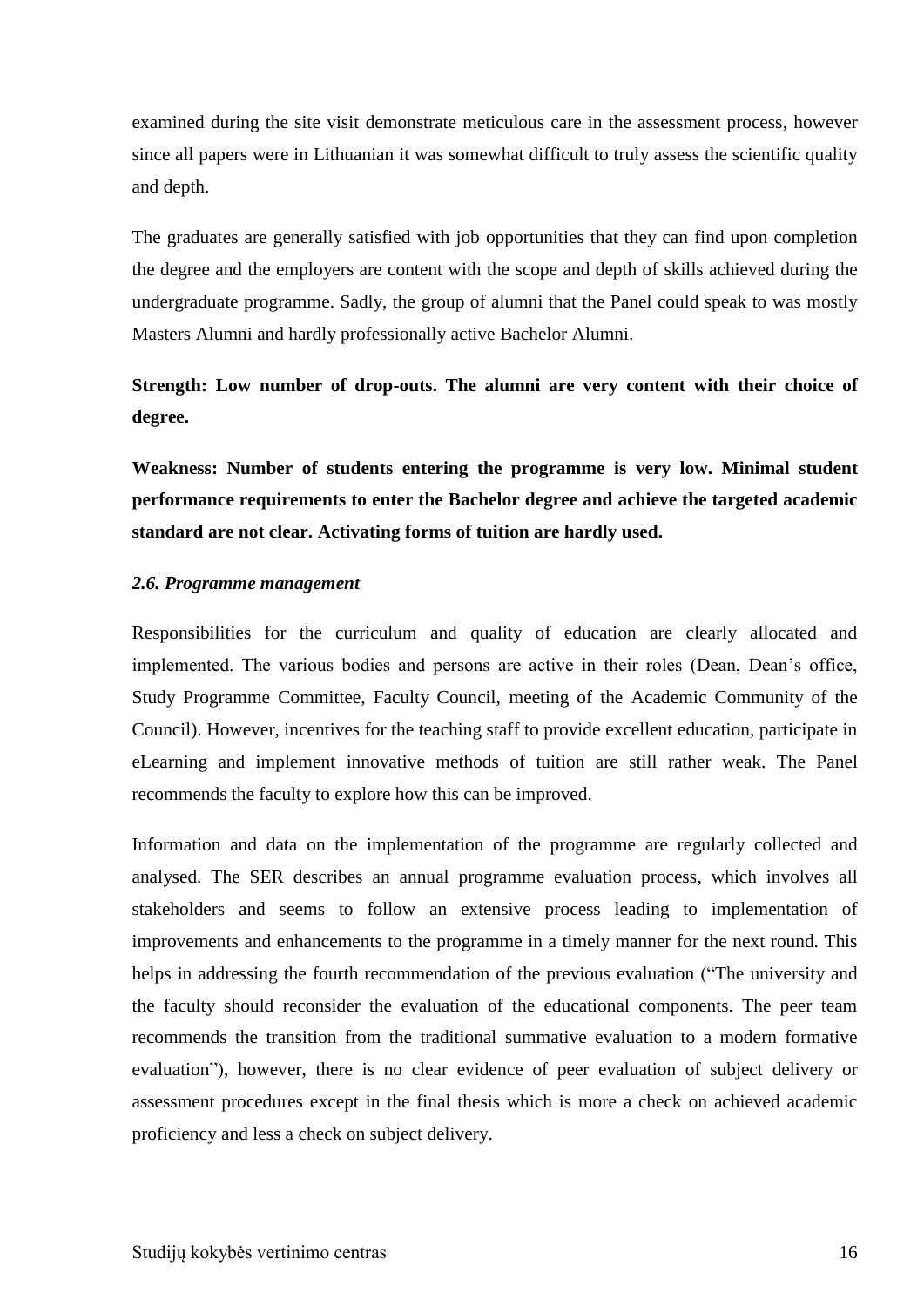examined during the site visit demonstrate meticulous care in the assessment process, however since all papers were in Lithuanian it was somewhat difficult to truly assess the scientific quality and depth.

The graduates are generally satisfied with job opportunities that they can find upon completion the degree and the employers are content with the scope and depth of skills achieved during the undergraduate programme. Sadly, the group of alumni that the Panel could speak to was mostly Masters Alumni and hardly professionally active Bachelor Alumni.

## **Strength: Low number of drop-outs. The alumni are very content with their choice of degree.**

**Weakness: Number of students entering the programme is very low. Minimal student performance requirements to enter the Bachelor degree and achieve the targeted academic standard are not clear. Activating forms of tuition are hardly used.**

#### <span id="page-15-0"></span>*2.6. Programme management*

Responsibilities for the curriculum and quality of education are clearly allocated and implemented. The various bodies and persons are active in their roles (Dean, Dean's office, Study Programme Committee, Faculty Council, meeting of the Academic Community of the Council). However, incentives for the teaching staff to provide excellent education, participate in eLearning and implement innovative methods of tuition are still rather weak. The Panel recommends the faculty to explore how this can be improved.

Information and data on the implementation of the programme are regularly collected and analysed. The SER describes an annual programme evaluation process, which involves all stakeholders and seems to follow an extensive process leading to implementation of improvements and enhancements to the programme in a timely manner for the next round. This helps in addressing the fourth recommendation of the previous evaluation ("The university and the faculty should reconsider the evaluation of the educational components. The peer team recommends the transition from the traditional summative evaluation to a modern formative evaluation"), however, there is no clear evidence of peer evaluation of subject delivery or assessment procedures except in the final thesis which is more a check on achieved academic proficiency and less a check on subject delivery.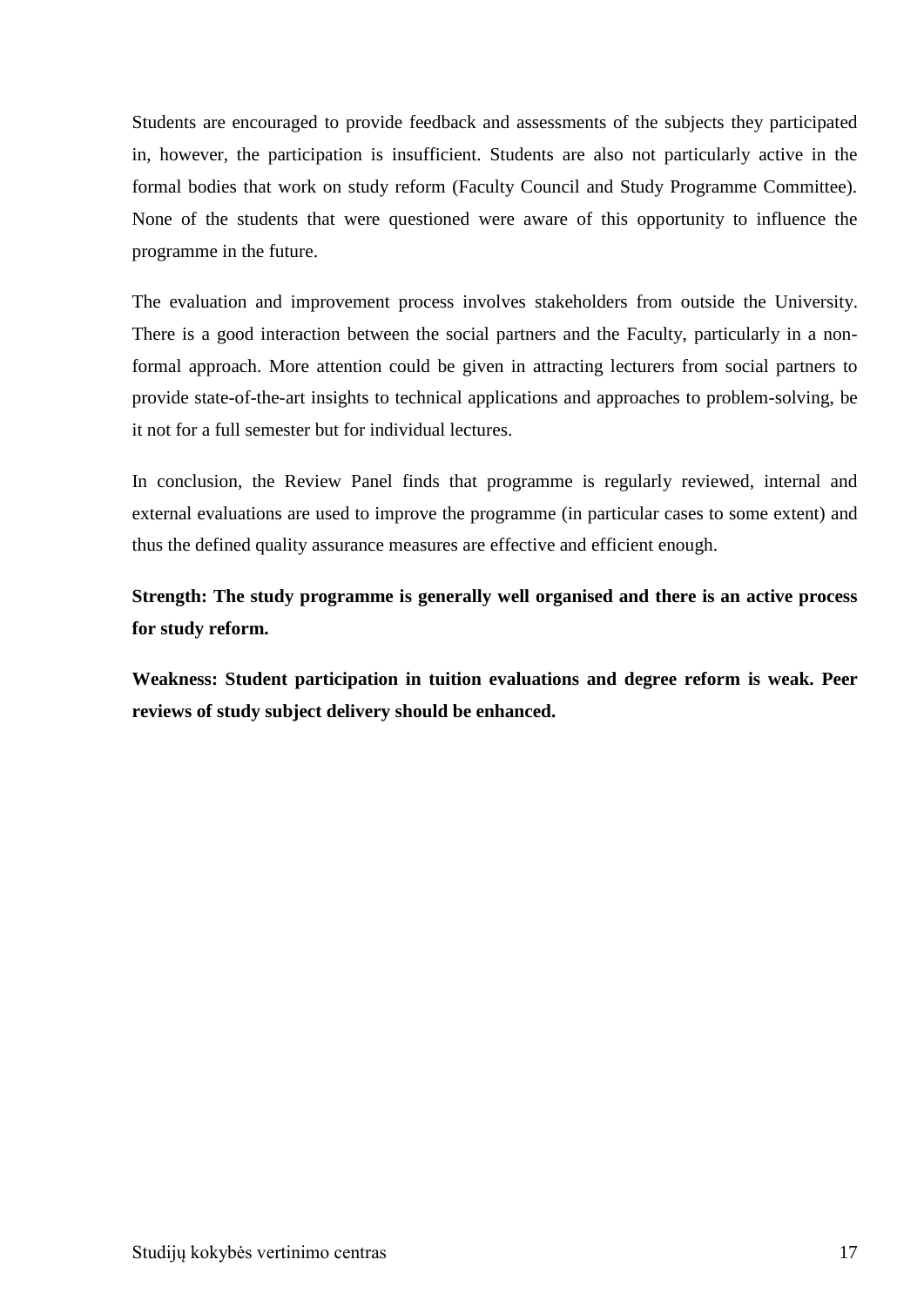Students are encouraged to provide feedback and assessments of the subjects they participated in, however, the participation is insufficient. Students are also not particularly active in the formal bodies that work on study reform (Faculty Council and Study Programme Committee). None of the students that were questioned were aware of this opportunity to influence the programme in the future.

The evaluation and improvement process involves stakeholders from outside the University. There is a good interaction between the social partners and the Faculty, particularly in a nonformal approach. More attention could be given in attracting lecturers from social partners to provide state-of-the-art insights to technical applications and approaches to problem-solving, be it not for a full semester but for individual lectures.

In conclusion, the Review Panel finds that programme is regularly reviewed, internal and external evaluations are used to improve the programme (in particular cases to some extent) and thus the defined quality assurance measures are effective and efficient enough.

**Strength: The study programme is generally well organised and there is an active process for study reform.**

**Weakness: Student participation in tuition evaluations and degree reform is weak. Peer reviews of study subject delivery should be enhanced.**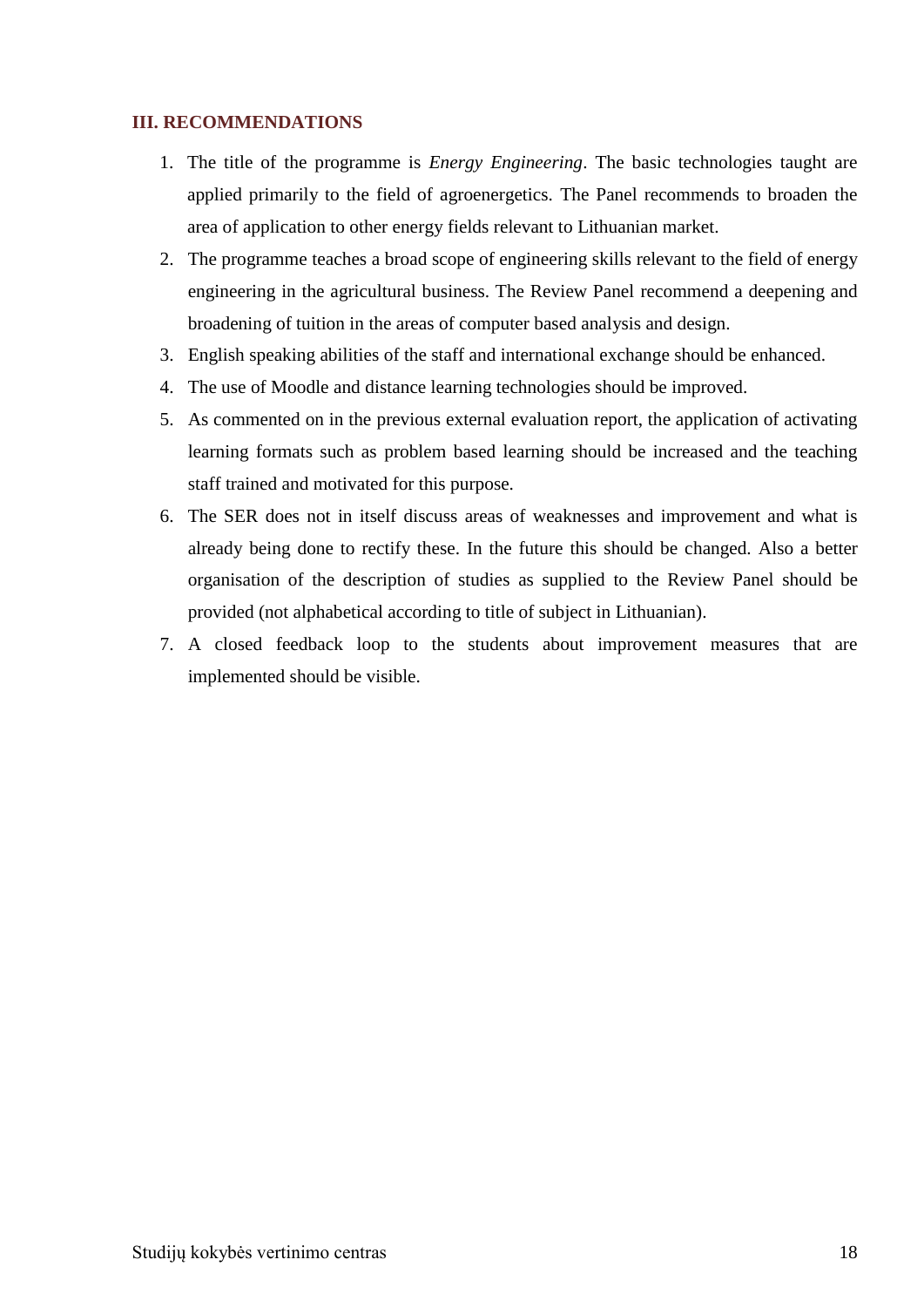#### <span id="page-17-0"></span>**III. RECOMMENDATIONS**

- 1. The title of the programme is *Energy Engineering*. The basic technologies taught are applied primarily to the field of agroenergetics. The Panel recommends to broaden the area of application to other energy fields relevant to Lithuanian market.
- 2. The programme teaches a broad scope of engineering skills relevant to the field of energy engineering in the agricultural business. The Review Panel recommend a deepening and broadening of tuition in the areas of computer based analysis and design.
- 3. English speaking abilities of the staff and international exchange should be enhanced.
- 4. The use of Moodle and distance learning technologies should be improved.
- 5. As commented on in the previous external evaluation report, the application of activating learning formats such as problem based learning should be increased and the teaching staff trained and motivated for this purpose.
- 6. The SER does not in itself discuss areas of weaknesses and improvement and what is already being done to rectify these. In the future this should be changed. Also a better organisation of the description of studies as supplied to the Review Panel should be provided (not alphabetical according to title of subject in Lithuanian).
- 7. A closed feedback loop to the students about improvement measures that are implemented should be visible.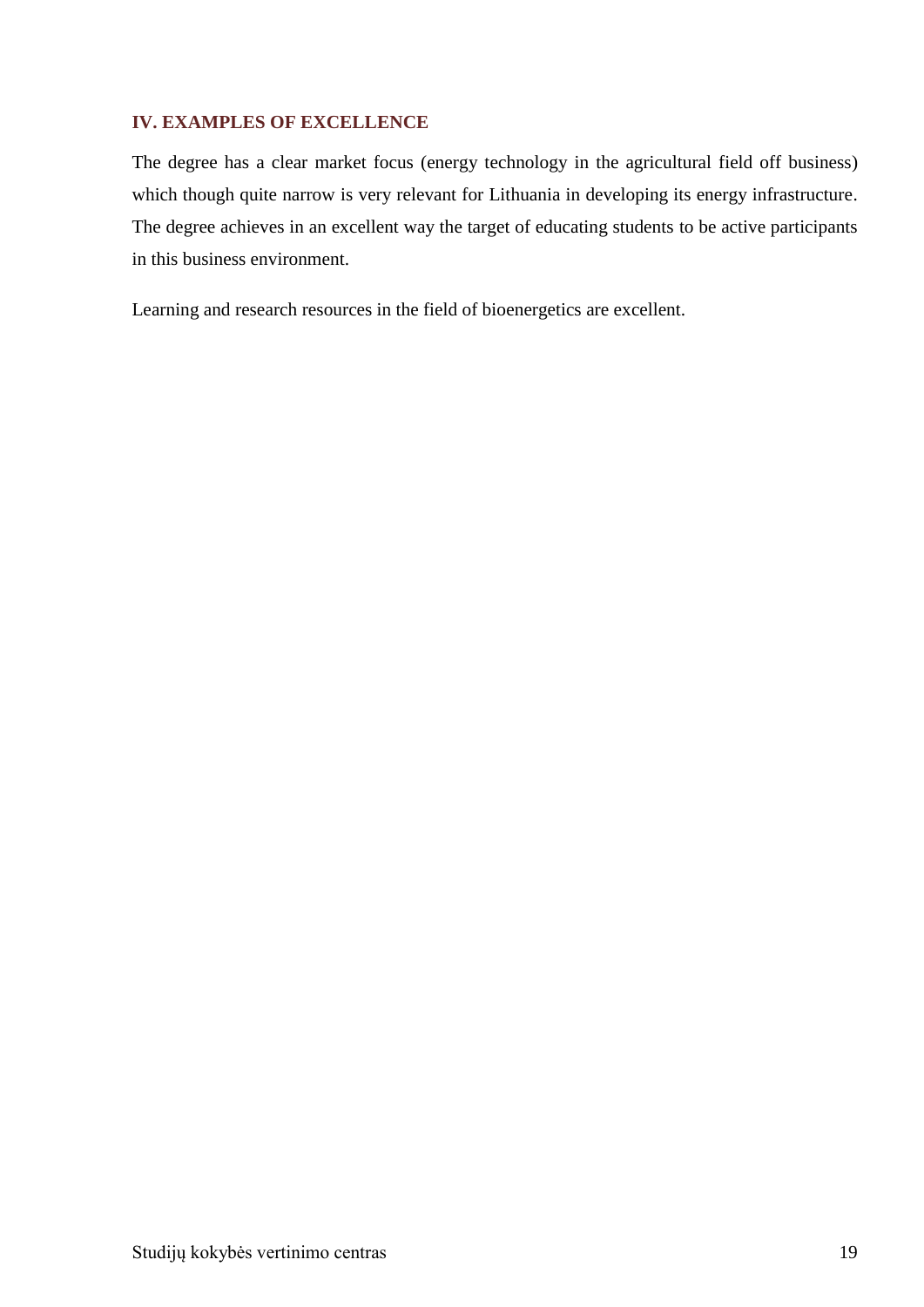## <span id="page-18-0"></span>**IV. EXAMPLES OF EXCELLENCE**

The degree has a clear market focus (energy technology in the agricultural field off business) which though quite narrow is very relevant for Lithuania in developing its energy infrastructure. The degree achieves in an excellent way the target of educating students to be active participants in this business environment.

Learning and research resources in the field of bioenergetics are excellent.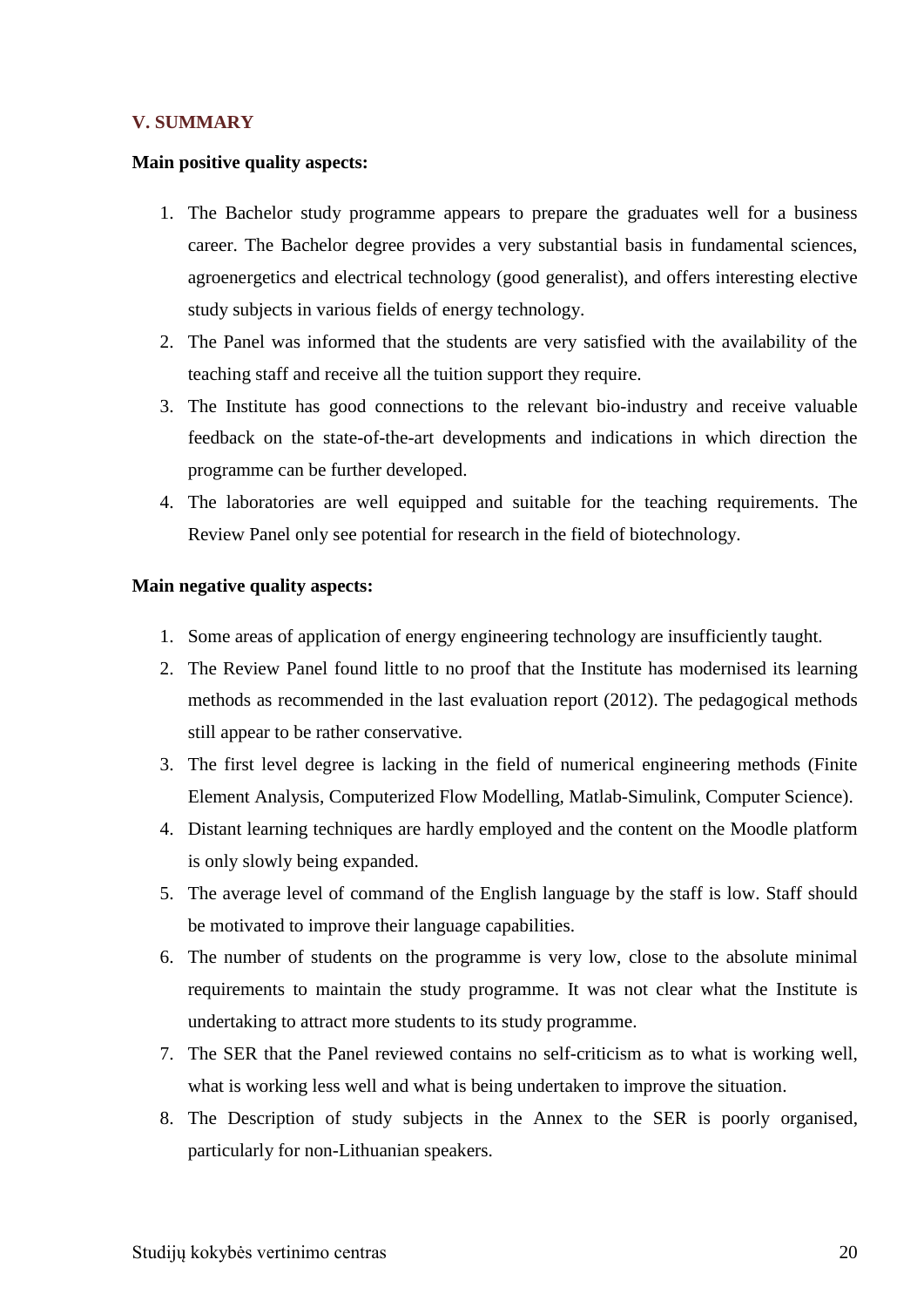### <span id="page-19-0"></span>**V. SUMMARY**

#### **Main positive quality aspects:**

- 1. The Bachelor study programme appears to prepare the graduates well for a business career. The Bachelor degree provides a very substantial basis in fundamental sciences, agroenergetics and electrical technology (good generalist), and offers interesting elective study subjects in various fields of energy technology.
- 2. The Panel was informed that the students are very satisfied with the availability of the teaching staff and receive all the tuition support they require.
- 3. The Institute has good connections to the relevant bio-industry and receive valuable feedback on the state-of-the-art developments and indications in which direction the programme can be further developed.
- 4. The laboratories are well equipped and suitable for the teaching requirements. The Review Panel only see potential for research in the field of biotechnology.

#### **Main negative quality aspects:**

- 1. Some areas of application of energy engineering technology are insufficiently taught.
- 2. The Review Panel found little to no proof that the Institute has modernised its learning methods as recommended in the last evaluation report (2012). The pedagogical methods still appear to be rather conservative.
- 3. The first level degree is lacking in the field of numerical engineering methods (Finite Element Analysis, Computerized Flow Modelling, Matlab-Simulink, Computer Science).
- 4. Distant learning techniques are hardly employed and the content on the Moodle platform is only slowly being expanded.
- 5. The average level of command of the English language by the staff is low. Staff should be motivated to improve their language capabilities.
- 6. The number of students on the programme is very low, close to the absolute minimal requirements to maintain the study programme. It was not clear what the Institute is undertaking to attract more students to its study programme.
- 7. The SER that the Panel reviewed contains no self-criticism as to what is working well, what is working less well and what is being undertaken to improve the situation.
- 8. The Description of study subjects in the Annex to the SER is poorly organised, particularly for non-Lithuanian speakers.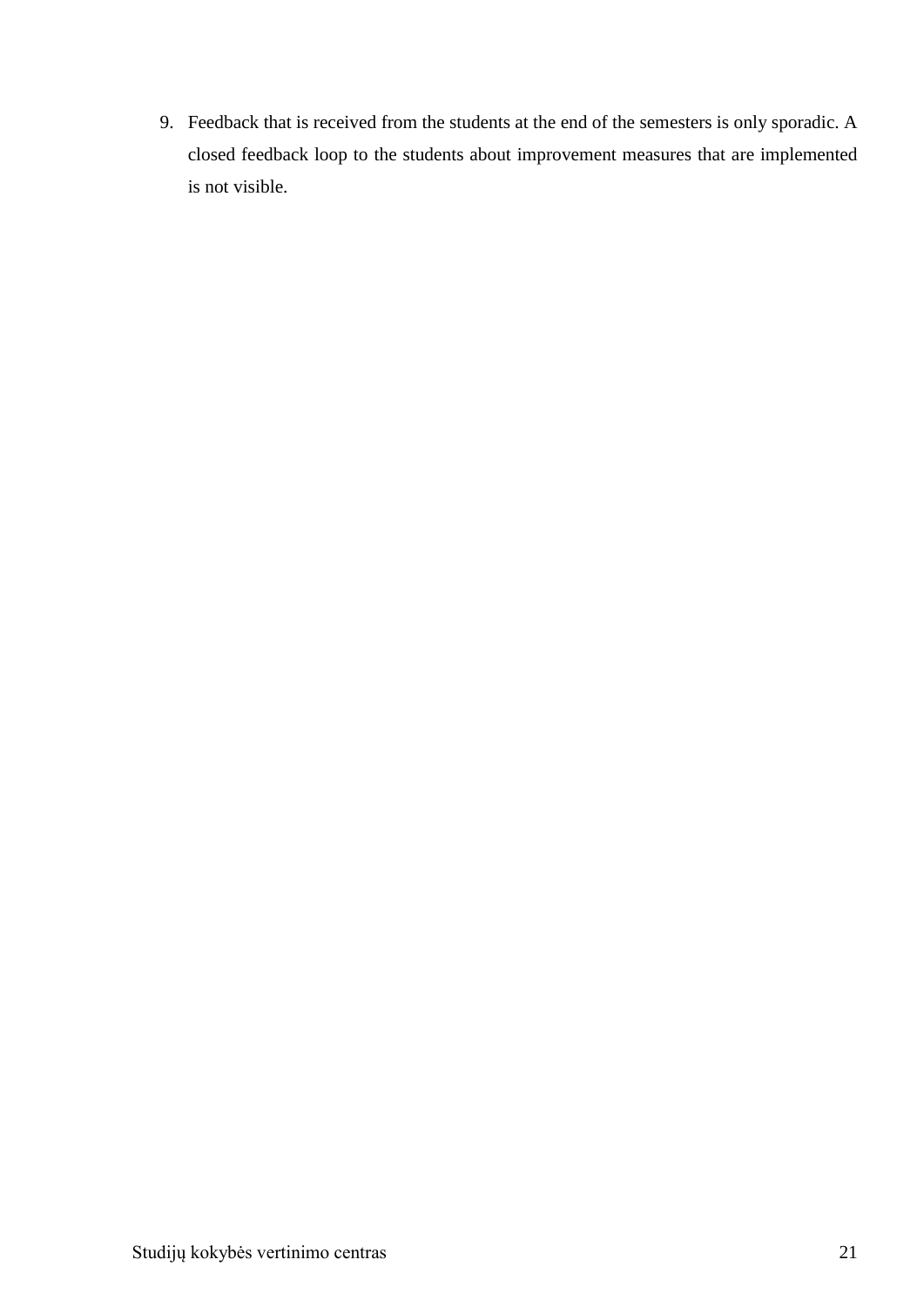9. Feedback that is received from the students at the end of the semesters is only sporadic. A closed feedback loop to the students about improvement measures that are implemented is not visible.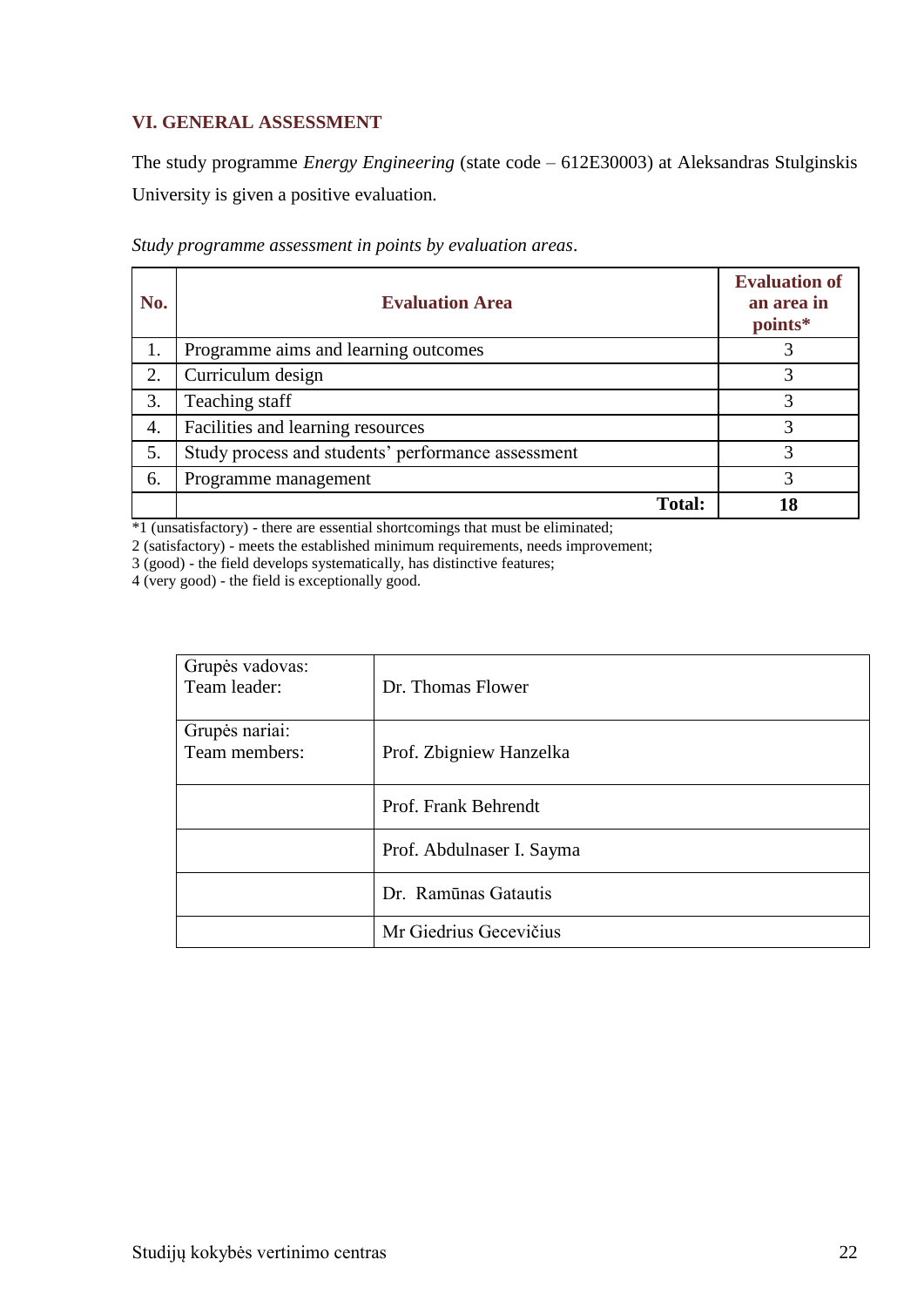## <span id="page-21-0"></span>**VI. GENERAL ASSESSMENT**

The study programme *Energy Engineering* (state code – 612E30003) at Aleksandras Stulginskis University is given a positive evaluation.

| No. | <b>Evaluation Area</b>                             | <b>Evaluation of</b><br>an area in<br>points* |
|-----|----------------------------------------------------|-----------------------------------------------|
| 1.  | Programme aims and learning outcomes               |                                               |
| 2.  | Curriculum design                                  |                                               |
| 3.  | Teaching staff                                     |                                               |
| 4.  | Facilities and learning resources                  | 3                                             |
| 5.  | Study process and students' performance assessment | 3                                             |
| 6.  | Programme management                               |                                               |
|     | <b>Total:</b>                                      | 18                                            |

*Study programme assessment in points by evaluation areas*.

\*1 (unsatisfactory) - there are essential shortcomings that must be eliminated;

2 (satisfactory) - meets the established minimum requirements, needs improvement;

3 (good) - the field develops systematically, has distinctive features;

4 (very good) - the field is exceptionally good.

| Grupės vadovas:<br>Team leader: | Dr. Thomas Flower         |
|---------------------------------|---------------------------|
| Grupės nariai:<br>Team members: | Prof. Zbigniew Hanzelka   |
|                                 | Prof. Frank Behrendt      |
|                                 | Prof. Abdulnaser I. Sayma |
|                                 | Dr. Ramūnas Gatautis      |
|                                 | Mr Giedrius Gecevičius    |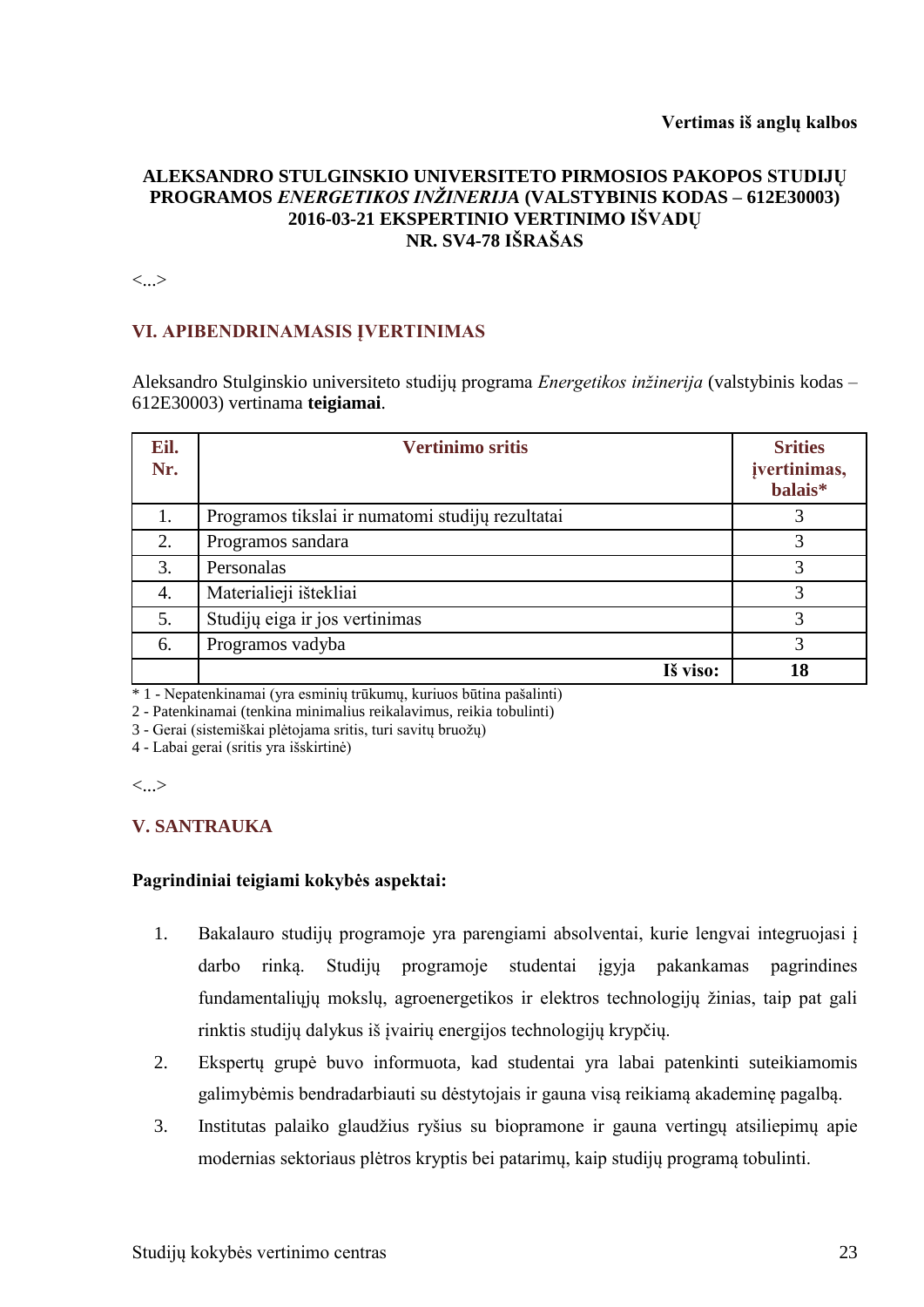#### **Vertimas iš anglų kalbos**

## **ALEKSANDRO STULGINSKIO UNIVERSITETO PIRMOSIOS PAKOPOS STUDIJŲ PROGRAMOS** *ENERGETIKOS INŽINERIJA* **(VALSTYBINIS KODAS – 612E30003) 2016-03-21 EKSPERTINIO VERTINIMO IŠVADŲ NR. SV4-78 IŠRAŠAS**

<...>

## **VI. APIBENDRINAMASIS ĮVERTINIMAS**

Aleksandro Stulginskio universiteto studijų programa *Energetikos inžinerija* (valstybinis kodas – 612E30003) vertinama **teigiamai**.

| Eil.<br>Nr. | <b>Vertinimo sritis</b>                          | <b>Srities</b><br>jvertinimas,<br>balais* |
|-------------|--------------------------------------------------|-------------------------------------------|
| 1.          | Programos tikslai ir numatomi studijų rezultatai | 3                                         |
| 2.          | Programos sandara                                | 3                                         |
| 3.          | Personalas                                       | 3                                         |
| 4.          | Materialieji ištekliai                           | 3                                         |
| 5.          | Studijų eiga ir jos vertinimas                   | 3                                         |
| 6.          | Programos vadyba                                 | 3                                         |
|             | Iš viso:                                         | 18                                        |

\* 1 - Nepatenkinamai (yra esminių trūkumų, kuriuos būtina pašalinti)

2 - Patenkinamai (tenkina minimalius reikalavimus, reikia tobulinti)

3 - Gerai (sistemiškai plėtojama sritis, turi savitų bruožų)

4 - Labai gerai (sritis yra išskirtinė)

<...>

## **V. SANTRAUKA**

## **Pagrindiniai teigiami kokybės aspektai:**

- 1. Bakalauro studijų programoje yra parengiami absolventai, kurie lengvai integruojasi į darbo rinką. Studijų programoje studentai įgyja pakankamas pagrindines fundamentaliųjų mokslų, agroenergetikos ir elektros technologijų žinias, taip pat gali rinktis studijų dalykus iš įvairių energijos technologijų krypčių.
- 2. Ekspertų grupė buvo informuota, kad studentai yra labai patenkinti suteikiamomis galimybėmis bendradarbiauti su dėstytojais ir gauna visą reikiamą akademinę pagalbą.
- 3. Institutas palaiko glaudžius ryšius su biopramone ir gauna vertingų atsiliepimų apie modernias sektoriaus plėtros kryptis bei patarimų, kaip studijų programą tobulinti.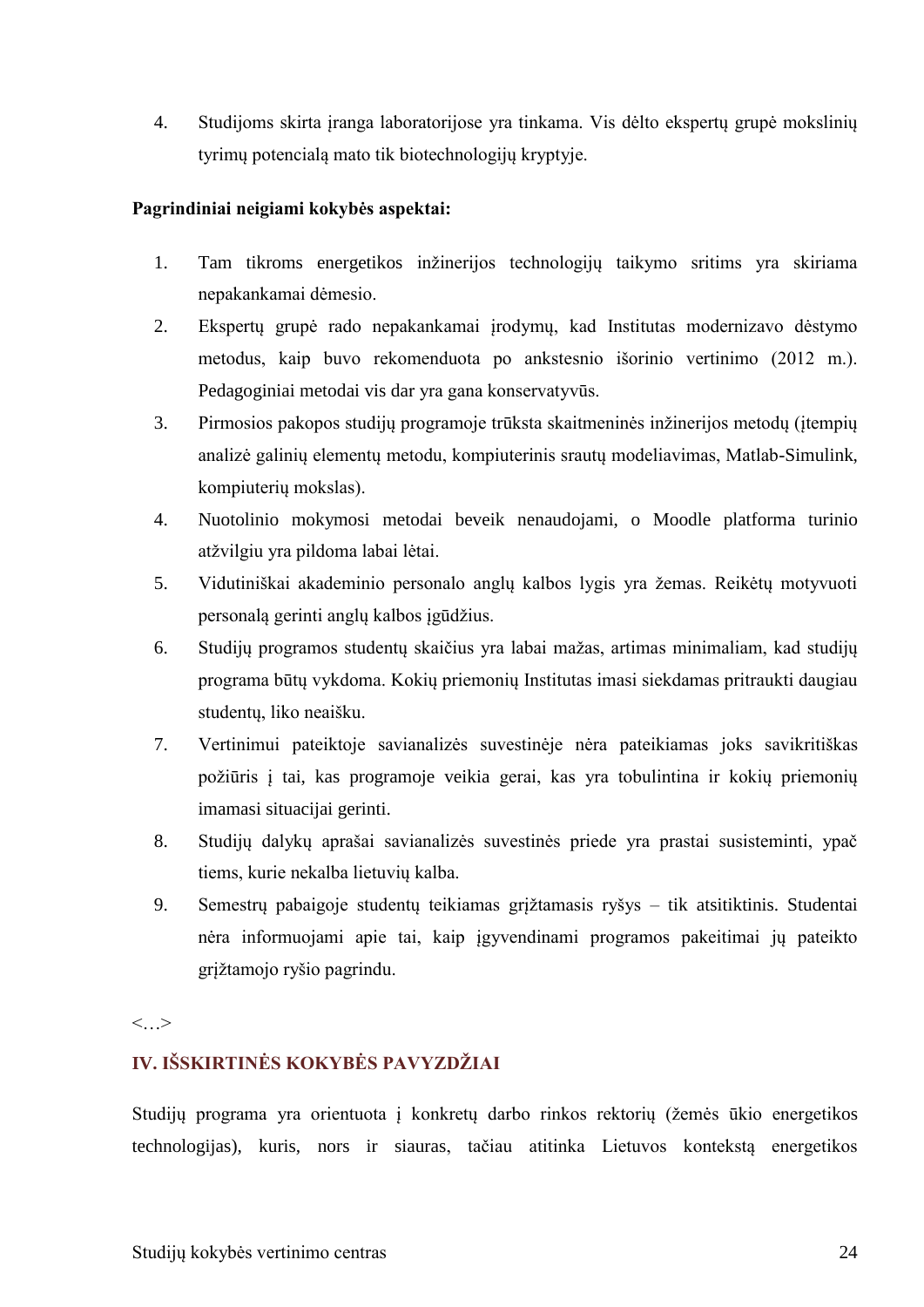4. Studijoms skirta įranga laboratorijose yra tinkama. Vis dėlto ekspertų grupė mokslinių tyrimų potencialą mato tik biotechnologijų kryptyje.

## **Pagrindiniai neigiami kokybės aspektai:**

- 1. Tam tikroms energetikos inžinerijos technologijų taikymo sritims yra skiriama nepakankamai dėmesio.
- 2. Ekspertų grupė rado nepakankamai įrodymų, kad Institutas modernizavo dėstymo metodus, kaip buvo rekomenduota po ankstesnio išorinio vertinimo (2012 m.). Pedagoginiai metodai vis dar yra gana konservatyvūs.
- 3. Pirmosios pakopos studijų programoje trūksta skaitmeninės inžinerijos metodų (įtempių analizė galinių elementų metodu, kompiuterinis srautų modeliavimas, Matlab-Simulink, kompiuterių mokslas).
- 4. Nuotolinio mokymosi metodai beveik nenaudojami, o Moodle platforma turinio atžvilgiu yra pildoma labai lėtai.
- 5. Vidutiniškai akademinio personalo anglų kalbos lygis yra žemas. Reikėtų motyvuoti personalą gerinti anglų kalbos įgūdžius.
- 6. Studijų programos studentų skaičius yra labai mažas, artimas minimaliam, kad studijų programa būtų vykdoma. Kokių priemonių Institutas imasi siekdamas pritraukti daugiau studentų, liko neaišku.
- 7. Vertinimui pateiktoje savianalizės suvestinėje nėra pateikiamas joks savikritiškas požiūris į tai, kas programoje veikia gerai, kas yra tobulintina ir kokių priemonių imamasi situacijai gerinti.
- 8. Studijų dalykų aprašai savianalizės suvestinės priede yra prastai susisteminti, ypač tiems, kurie nekalba lietuvių kalba.
- 9. Semestrų pabaigoje studentų teikiamas grįžtamasis ryšys tik atsitiktinis. Studentai nėra informuojami apie tai, kaip įgyvendinami programos pakeitimai jų pateikto grįžtamojo ryšio pagrindu.

 $\langle \cdot, \cdot \rangle$ 

## **IV. IŠSKIRTINĖS KOKYBĖS PAVYZDŽIAI**

Studijų programa yra orientuota į konkretų darbo rinkos rektorių (žemės ūkio energetikos technologijas), kuris, nors ir siauras, tačiau atitinka Lietuvos kontekstą energetikos